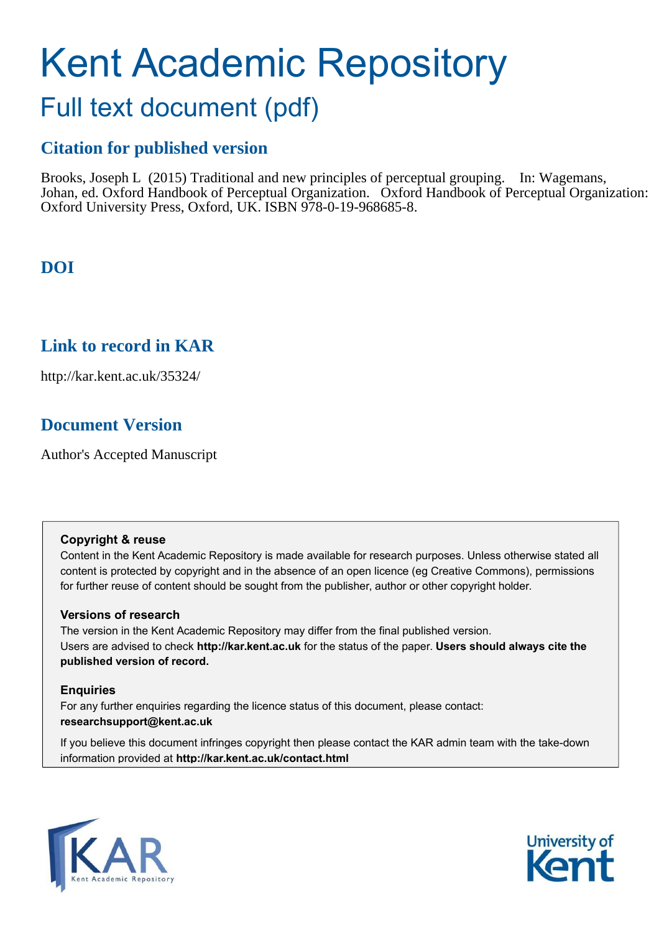# Kent Academic Repository

## Full text document (pdf)

## **Citation for published version**

Brooks, Joseph L (2015) Traditional and new principles of perceptual grouping. In: Wagemans, Johan, ed. Oxford Handbook of Perceptual Organization. Oxford Handbook of Perceptual Organization: Oxford University Press, Oxford, UK. ISBN 978-0-19-968685-8.

## **DOI**

### **Link to record in KAR**

http://kar.kent.ac.uk/35324/

## **Document Version**

Author's Accepted Manuscript

#### **Copyright & reuse**

Content in the Kent Academic Repository is made available for research purposes. Unless otherwise stated all content is protected by copyright and in the absence of an open licence (eg Creative Commons), permissions for further reuse of content should be sought from the publisher, author or other copyright holder.

#### **Versions of research**

The version in the Kent Academic Repository may differ from the final published version. Users are advised to check **http://kar.kent.ac.uk** for the status of the paper. **Users should always cite the published version of record.**

#### **Enquiries**

For any further enquiries regarding the licence status of this document, please contact: **researchsupport@kent.ac.uk**

If you believe this document infringes copyright then please contact the KAR admin team with the take-down information provided at **http://kar.kent.ac.uk/contact.html**



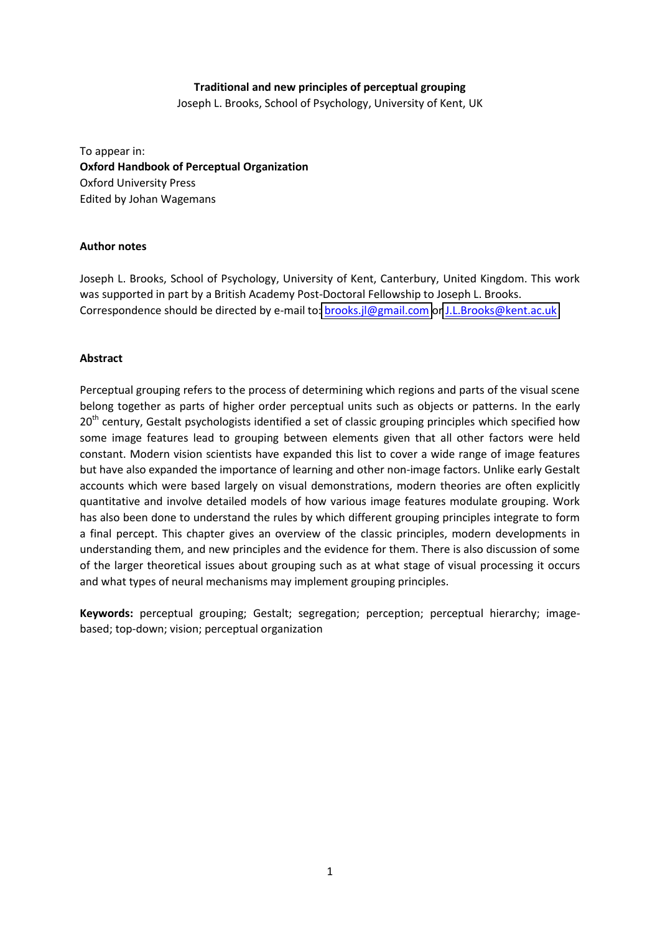#### **Traditional and new principles of perceptual grouping**

Joseph L. Brooks, School of Psychology, University of Kent, UK

To appear in: **Oxford Handbook of Perceptual Organization**  Oxford University Press Edited by Johan Wagemans

#### **Author notes**

Joseph L. Brooks, School of Psychology, University of Kent, Canterbury, United Kingdom. This work was supported in part by a British Academy Post-Doctoral Fellowship to Joseph L. Brooks. Correspondence should be directed by e-mail to[: brooks.jl@gmail.com](mailto:brooks.jl@gmail.com) or [J.L.Brooks@kent.ac.uk](mailto:J.L.Brooks@kent.ac.uk)

#### **Abstract**

Perceptual grouping refers to the process of determining which regions and parts of the visual scene belong together as parts of higher order perceptual units such as objects or patterns. In the early 20<sup>th</sup> century, Gestalt psychologists identified a set of classic grouping principles which specified how some image features lead to grouping between elements given that all other factors were held constant. Modern vision scientists have expanded this list to cover a wide range of image features but have also expanded the importance of learning and other non-image factors. Unlike early Gestalt accounts which were based largely on visual demonstrations, modern theories are often explicitly quantitative and involve detailed models of how various image features modulate grouping. Work has also been done to understand the rules by which different grouping principles integrate to form a final percept. This chapter gives an overview of the classic principles, modern developments in understanding them, and new principles and the evidence for them. There is also discussion of some of the larger theoretical issues about grouping such as at what stage of visual processing it occurs and what types of neural mechanisms may implement grouping principles.

**Keywords:** perceptual grouping; Gestalt; segregation; perception; perceptual hierarchy; imagebased; top-down; vision; perceptual organization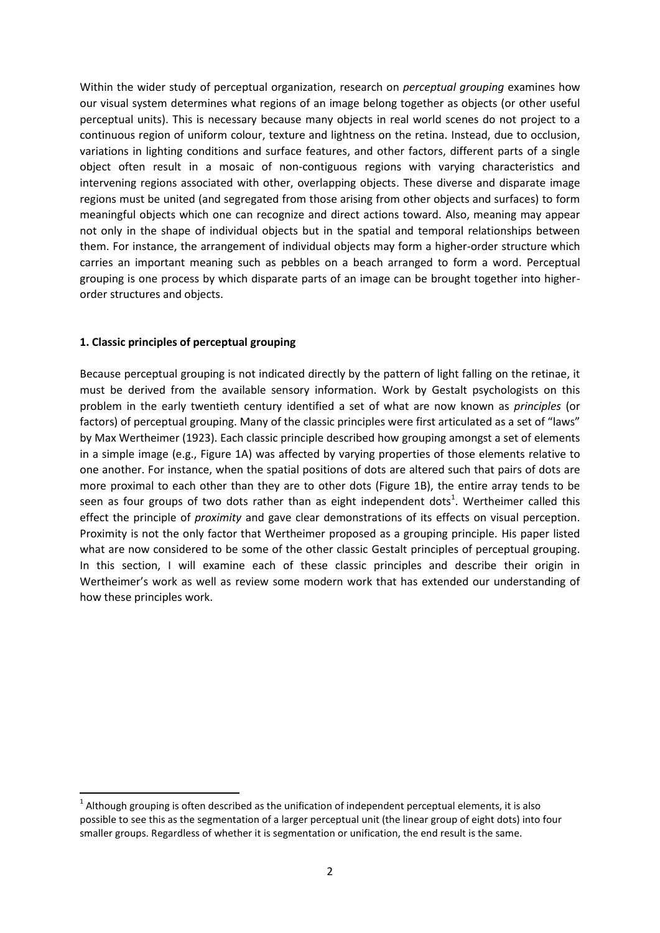Within the wider study of perceptual organization, research on *perceptual grouping* examines how our visual system determines what regions of an image belong together as objects (or other useful perceptual units). This is necessary because many objects in real world scenes do not project to a continuous region of uniform colour, texture and lightness on the retina. Instead, due to occlusion, variations in lighting conditions and surface features, and other factors, different parts of a single object often result in a mosaic of non-contiguous regions with varying characteristics and intervening regions associated with other, overlapping objects. These diverse and disparate image regions must be united (and segregated from those arising from other objects and surfaces) to form meaningful objects which one can recognize and direct actions toward. Also, meaning may appear not only in the shape of individual objects but in the spatial and temporal relationships between them. For instance, the arrangement of individual objects may form a higher-order structure which carries an important meaning such as pebbles on a beach arranged to form a word. Perceptual grouping is one process by which disparate parts of an image can be brought together into higherorder structures and objects.

#### **1. Classic principles of perceptual grouping**

<u>.</u>

Because perceptual grouping is not indicated directly by the pattern of light falling on the retinae, it must be derived from the available sensory information. Work by Gestalt psychologists on this problem in the early twentieth century identified a set of what are now known as *principles* (or factors) of perceptual grouping. Many of the classic principles were first articulated as a set of "laws" by Max Wertheimer (1923). Each classic principle described how grouping amongst a set of elements in a simple image (e.g., Figure 1A) was affected by varying properties of those elements relative to one another. For instance, when the spatial positions of dots are altered such that pairs of dots are more proximal to each other than they are to other dots (Figure 1B), the entire array tends to be seen as four groups of two dots rather than as eight independent dots<sup>1</sup>. Wertheimer called this effect the principle of *proximity* and gave clear demonstrations of its effects on visual perception. Proximity is not the only factor that Wertheimer proposed as a grouping principle. His paper listed what are now considered to be some of the other classic Gestalt principles of perceptual grouping. In this section, I will examine each of these classic principles and describe their origin in Wertheimer's work as well as review some modern work that has extended our understanding of how these principles work.

 $1$  Although grouping is often described as the unification of independent perceptual elements, it is also possible to see this as the segmentation of a larger perceptual unit (the linear group of eight dots) into four smaller groups. Regardless of whether it is segmentation or unification, the end result is the same.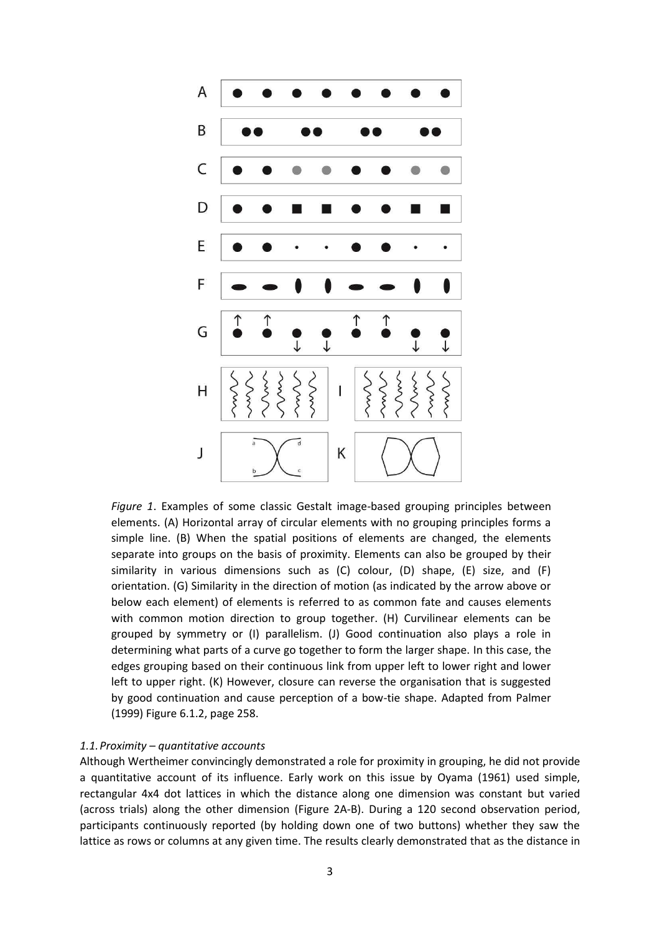

*Figure 1*. Examples of some classic Gestalt image-based grouping principles between elements. (A) Horizontal array of circular elements with no grouping principles forms a simple line. (B) When the spatial positions of elements are changed, the elements separate into groups on the basis of proximity. Elements can also be grouped by their similarity in various dimensions such as (C) colour, (D) shape, (E) size, and (F) orientation. (G) Similarity in the direction of motion (as indicated by the arrow above or below each element) of elements is referred to as common fate and causes elements with common motion direction to group together. (H) Curvilinear elements can be grouped by symmetry or (I) parallelism. (J) Good continuation also plays a role in determining what parts of a curve go together to form the larger shape. In this case, the edges grouping based on their continuous link from upper left to lower right and lower left to upper right. (K) However, closure can reverse the organisation that is suggested by good continuation and cause perception of a bow-tie shape. Adapted from Palmer (1999) Figure 6.1.2, page 258.

#### 1.1. Proximity – quantitative accounts

Although Wertheimer convincingly demonstrated a role for proximity in grouping, he did not provide a quantitative account of its influence. Early work on this issue by Oyama (1961) used simple, rectangular 4x4 dot lattices in which the distance along one dimension was constant but varied (across trials) along the other dimension (Figure 2A-B). During a 120 second observation period, participants continuously reported (by holding down one of two buttons) whether they saw the lattice as rows or columns at any given time. The results clearly demonstrated that as the distance in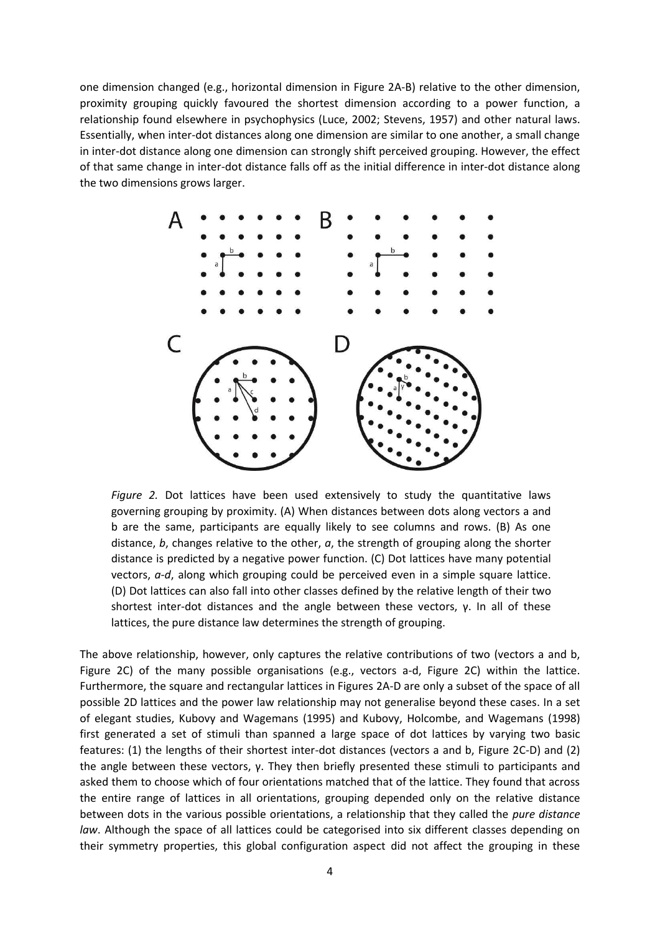one dimension changed (e.g., horizontal dimension in Figure 2A-B) relative to the other dimension, proximity grouping quickly favoured the shortest dimension according to a power function, a relationship found elsewhere in psychophysics (Luce, 2002; Stevens, 1957) and other natural laws. Essentially, when inter-dot distances along one dimension are similar to one another, a small change in inter-dot distance along one dimension can strongly shift perceived grouping. However, the effect of that same change in inter-dot distance falls off as the initial difference in inter-dot distance along the two dimensions grows larger.



*Figure 2.* Dot lattices have been used extensively to study the quantitative laws governing grouping by proximity. (A) When distances between dots along vectors a and b are the same, participants are equally likely to see columns and rows. (B) As one distance, *b*, changes relative to the other, *a*, the strength of grouping along the shorter distance is predicted by a negative power function. (C) Dot lattices have many potential vectors, *a-d*, along which grouping could be perceived even in a simple square lattice. (D) Dot lattices can also fall into other classes defined by the relative length of their two shortest inter-dot distances and the angle between these vectors,  $\gamma$ . In all of these lattices, the pure distance law determines the strength of grouping.

The above relationship, however, only captures the relative contributions of two (vectors a and b, Figure 2C) of the many possible organisations (e.g., vectors a-d, Figure 2C) within the lattice. Furthermore, the square and rectangular lattices in Figures 2A-D are only a subset of the space of all possible 2D lattices and the power law relationship may not generalise beyond these cases. In a set of elegant studies, Kubovy and Wagemans (1995) and Kubovy, Holcombe, and Wagemans (1998) first generated a set of stimuli than spanned a large space of dot lattices by varying two basic features: (1) the lengths of their shortest inter-dot distances (vectors a and b, Figure 2C-D) and (2) the angle between these vectors,  $\gamma$ . They then briefly presented these stimuli to participants and asked them to choose which of four orientations matched that of the lattice. They found that across the entire range of lattices in all orientations, grouping depended only on the relative distance between dots in the various possible orientations, a relationship that they called the *pure distance law*. Although the space of all lattices could be categorised into six different classes depending on their symmetry properties, this global configuration aspect did not affect the grouping in these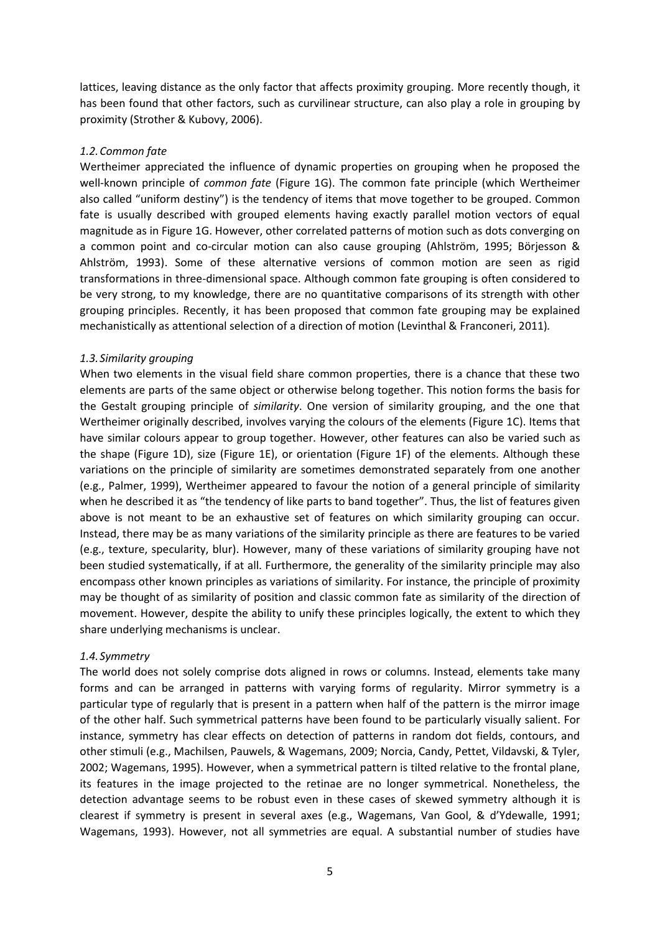lattices, leaving distance as the only factor that affects proximity grouping. More recently though, it has been found that other factors, such as curvilinear structure, can also play a role in grouping by proximity (Strother & Kubovy, 2006).

#### *1.2.Common fate*

Wertheimer appreciated the influence of dynamic properties on grouping when he proposed the well-known principle of *common fate* (Figure 1G). The common fate principle (which Wertheimer also called "uniform destiny") is the tendency of items that move together to be grouped. Common fate is usually described with grouped elements having exactly parallel motion vectors of equal magnitude as in Figure 1G. However, other correlated patterns of motion such as dots converging on a common point and co-circular motion can also cause grouping (Ahlström, 1995; Börjesson & Ahlström, 1993). Some of these alternative versions of common motion are seen as rigid transformations in three-dimensional space. Although common fate grouping is often considered to be very strong, to my knowledge, there are no quantitative comparisons of its strength with other grouping principles. Recently, it has been proposed that common fate grouping may be explained mechanistically as attentional selection of a direction of motion (Levinthal & Franconeri, 2011)*.*

#### *1.3.Similarity grouping*

When two elements in the visual field share common properties, there is a chance that these two elements are parts of the same object or otherwise belong together. This notion forms the basis for the Gestalt grouping principle of *similarity*. One version of similarity grouping, and the one that Wertheimer originally described, involves varying the colours of the elements (Figure 1C). Items that have similar colours appear to group together. However, other features can also be varied such as the shape (Figure 1D), size (Figure 1E), or orientation (Figure 1F) of the elements. Although these variations on the principle of similarity are sometimes demonstrated separately from one another (e.g., Palmer, 1999), Wertheimer appeared to favour the notion of a general principle of similarity when he described it as "the tendency of like parts to band together". Thus, the list of features given above is not meant to be an exhaustive set of features on which similarity grouping can occur. Instead, there may be as many variations of the similarity principle as there are features to be varied (e.g., texture, specularity, blur). However, many of these variations of similarity grouping have not been studied systematically, if at all. Furthermore, the generality of the similarity principle may also encompass other known principles as variations of similarity. For instance, the principle of proximity may be thought of as similarity of position and classic common fate as similarity of the direction of movement. However, despite the ability to unify these principles logically, the extent to which they share underlying mechanisms is unclear.

#### *1.4.Symmetry*

The world does not solely comprise dots aligned in rows or columns. Instead, elements take many forms and can be arranged in patterns with varying forms of regularity. Mirror symmetry is a particular type of regularly that is present in a pattern when half of the pattern is the mirror image of the other half. Such symmetrical patterns have been found to be particularly visually salient. For instance, symmetry has clear effects on detection of patterns in random dot fields, contours, and other stimuli (e.g., Machilsen, Pauwels, & Wagemans, 2009; Norcia, Candy, Pettet, Vildavski, & Tyler, 2002; Wagemans, 1995). However, when a symmetrical pattern is tilted relative to the frontal plane, its features in the image projected to the retinae are no longer symmetrical. Nonetheless, the detection advantage seems to be robust even in these cases of skewed symmetry although it is clearest if symmetry is present in several axes (e.g., Wagemans, Van Gool, & d'Ydewalle, 1991; Wagemans, 1993). However, not all symmetries are equal. A substantial number of studies have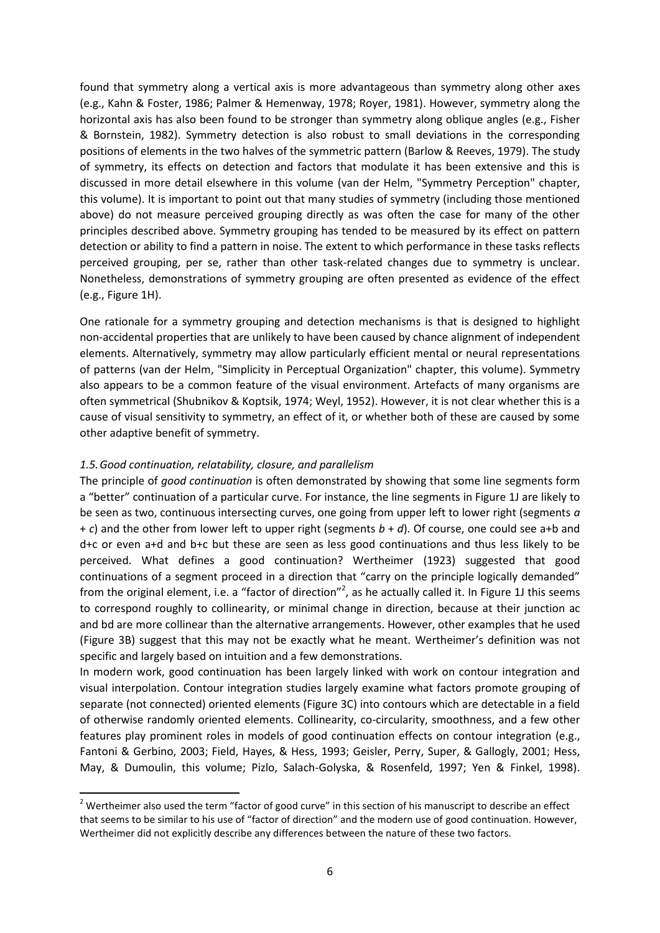found that symmetry along a vertical axis is more advantageous than symmetry along other axes (e.g., Kahn & Foster, 1986; Palmer & Hemenway, 1978; Royer, 1981). However, symmetry along the horizontal axis has also been found to be stronger than symmetry along oblique angles (e.g., Fisher & Bornstein, 1982). Symmetry detection is also robust to small deviations in the corresponding positions of elements in the two halves of the symmetric pattern (Barlow & Reeves, 1979). The study of symmetry, its effects on detection and factors that modulate it has been extensive and this is discussed in more detail elsewhere in this volume (van der Helm, "Symmetry Perception" chapter, this volume). It is important to point out that many studies of symmetry (including those mentioned above) do not measure perceived grouping directly as was often the case for many of the other principles described above. Symmetry grouping has tended to be measured by its effect on pattern detection or ability to find a pattern in noise. The extent to which performance in these tasks reflects perceived grouping, per se, rather than other task-related changes due to symmetry is unclear. Nonetheless, demonstrations of symmetry grouping are often presented as evidence of the effect (e.g., Figure 1H).

One rationale for a symmetry grouping and detection mechanisms is that is designed to highlight non-accidental properties that are unlikely to have been caused by chance alignment of independent elements. Alternatively, symmetry may allow particularly efficient mental or neural representations of patterns (van der Helm, "Simplicity in Perceptual Organization" chapter, this volume). Symmetry also appears to be a common feature of the visual environment. Artefacts of many organisms are often symmetrical (Shubnikov & Koptsik, 1974; Weyl, 1952). However, it is not clear whether this is a cause of visual sensitivity to symmetry, an effect of it, or whether both of these are caused by some other adaptive benefit of symmetry.

#### *1.5.Good continuation, relatability, closure, and parallelism*

<u>.</u>

The principle of *good continuation* is often demonstrated by showing that some line segments form a "better" continuation of a particular curve. For instance, the line segments in Figure 1J are likely to be seen as two, continuous intersecting curves, one going from upper left to lower right (segments *a* + *c*) and the other from lower left to upper right (segments *b* + *d*). Of course, one could see a+b and d+c or even a+d and b+c but these are seen as less good continuations and thus less likely to be perceived. What defines a good continuation? Wertheimer (1923) suggested that good continuations of a segment proceed in a direction that "carry on the principle logically demanded" from the original element, i.e. a "factor of direction"<sup>2</sup>, as he actually called it. In Figure 1J this seems to correspond roughly to collinearity, or minimal change in direction, because at their junction ac and bd are more collinear than the alternative arrangements. However, other examples that he used (Figure 3B) suggest that this may not be exactly what he meant. Wertheimer's definition was not specific and largely based on intuition and a few demonstrations.

In modern work, good continuation has been largely linked with work on contour integration and visual interpolation. Contour integration studies largely examine what factors promote grouping of separate (not connected) oriented elements (Figure 3C) into contours which are detectable in a field of otherwise randomly oriented elements. Collinearity, co-circularity, smoothness, and a few other features play prominent roles in models of good continuation effects on contour integration (e.g., Fantoni & Gerbino, 2003; Field, Hayes, & Hess, 1993; Geisler, Perry, Super, & Gallogly, 2001; Hess, May, & Dumoulin, this volume; Pizlo, Salach-Golyska, & Rosenfeld, 1997; Yen & Finkel, 1998).

<sup>&</sup>lt;sup>2</sup> Wertheimer also used the term "factor of good curve" in this section of his manuscript to describe an effect that seems to be similar to his use of "factor of direction" and the modern use of good continuation. However, Wertheimer did not explicitly describe any differences between the nature of these two factors.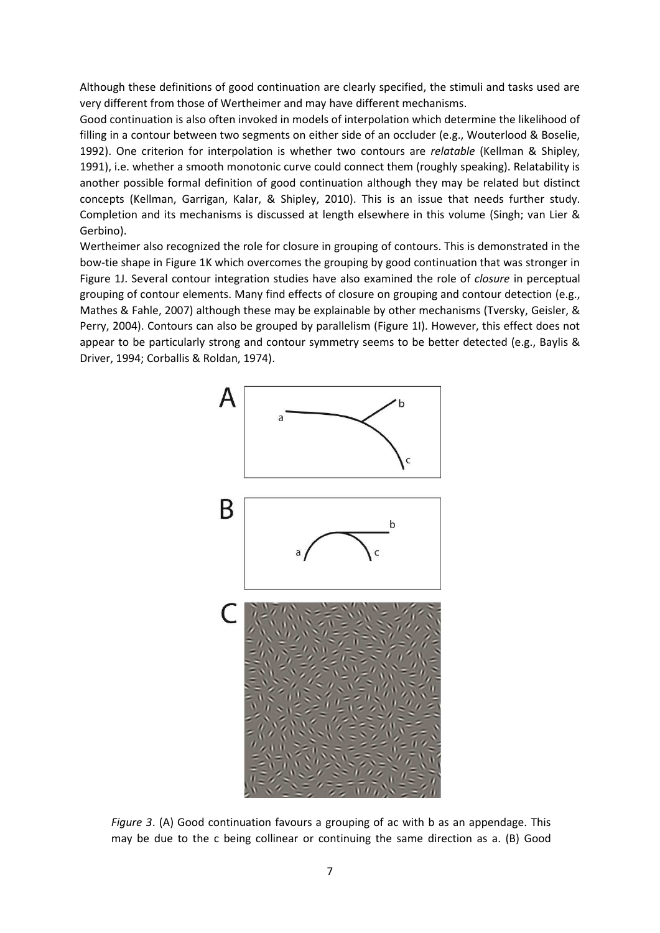Although these definitions of good continuation are clearly specified, the stimuli and tasks used are very different from those of Wertheimer and may have different mechanisms.

Good continuation is also often invoked in models of interpolation which determine the likelihood of filling in a contour between two segments on either side of an occluder (e.g., Wouterlood & Boselie, 1992). One criterion for interpolation is whether two contours are *relatable* (Kellman & Shipley, 1991), i.e. whether a smooth monotonic curve could connect them (roughly speaking). Relatability is another possible formal definition of good continuation although they may be related but distinct concepts (Kellman, Garrigan, Kalar, & Shipley, 2010). This is an issue that needs further study. Completion and its mechanisms is discussed at length elsewhere in this volume (Singh; van Lier & Gerbino).

Wertheimer also recognized the role for closure in grouping of contours. This is demonstrated in the bow-tie shape in Figure 1K which overcomes the grouping by good continuation that was stronger in Figure 1J. Several contour integration studies have also examined the role of *closure* in perceptual grouping of contour elements. Many find effects of closure on grouping and contour detection (e.g., Mathes & Fahle, 2007) although these may be explainable by other mechanisms (Tversky, Geisler, & Perry, 2004). Contours can also be grouped by parallelism (Figure 1I). However, this effect does not appear to be particularly strong and contour symmetry seems to be better detected (e.g., Baylis & Driver, 1994; Corballis & Roldan, 1974).



*Figure 3*. (A) Good continuation favours a grouping of ac with b as an appendage. This may be due to the c being collinear or continuing the same direction as a. (B) Good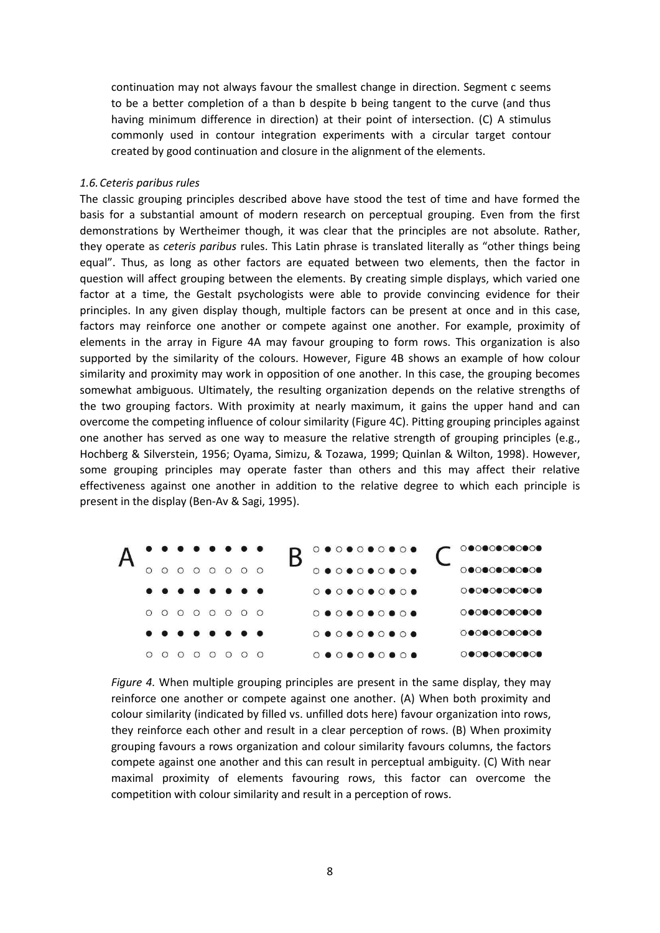continuation may not always favour the smallest change in direction. Segment c seems to be a better completion of a than b despite b being tangent to the curve (and thus having minimum difference in direction) at their point of intersection. (C) A stimulus commonly used in contour integration experiments with a circular target contour created by good continuation and closure in the alignment of the elements.

#### *1.6.Ceteris paribus rules*

The classic grouping principles described above have stood the test of time and have formed the basis for a substantial amount of modern research on perceptual grouping. Even from the first demonstrations by Wertheimer though, it was clear that the principles are not absolute. Rather, they operate as *ceteris paribus* rules. This Latin phrase is translated literally as "other things being equal". Thus, as long as other factors are equated between two elements, then the factor in question will affect grouping between the elements. By creating simple displays, which varied one factor at a time, the Gestalt psychologists were able to provide convincing evidence for their principles. In any given display though, multiple factors can be present at once and in this case, factors may reinforce one another or compete against one another. For example, proximity of elements in the array in Figure 4A may favour grouping to form rows. This organization is also supported by the similarity of the colours. However, Figure 4B shows an example of how colour similarity and proximity may work in opposition of one another. In this case, the grouping becomes somewhat ambiguous. Ultimately, the resulting organization depends on the relative strengths of the two grouping factors. With proximity at nearly maximum, it gains the upper hand and can overcome the competing influence of colour similarity (Figure 4C). Pitting grouping principles against one another has served as one way to measure the relative strength of grouping principles (e.g., Hochberg & Silverstein, 1956; Oyama, Simizu, & Tozawa, 1999; Quinlan & Wilton, 1998). However, some grouping principles may operate faster than others and this may affect their relative effectiveness against one another in addition to the relative degree to which each principle is present in the display (Ben-Av & Sagi, 1995).

|   |          |  |            |  |          |  |  | $\begin{array}{ccccccccccccccccc} \circ & \bullet & \circ & \bullet & \circ & \bullet & \circ & \bullet & \circ & \bullet \end{array}$ |  |  |  | 000000000000 |
|---|----------|--|------------|--|----------|--|--|----------------------------------------------------------------------------------------------------------------------------------------|--|--|--|--------------|
|   |          |  | 000000000  |  |          |  |  | 000000000                                                                                                                              |  |  |  | 000000000000 |
|   |          |  | .          |  |          |  |  | $\circ\bullet\circ\bullet\circ\bullet\circ\bullet\circ\bullet$                                                                         |  |  |  | 00000000000  |
|   |          |  | 00000000   |  |          |  |  | $\circ\bullet\circ\bullet\circ\bullet\circ\bullet\circ\bullet$                                                                         |  |  |  | 00000000000  |
|   |          |  | .          |  |          |  |  | $\circ\bullet\circ\bullet\circ\bullet\circ\bullet\circ\bullet$                                                                         |  |  |  | 000000000000 |
| ◯ | $\Omega$ |  | $\bigcirc$ |  | $\Omega$ |  |  | $\begin{array}{ccccccccccccccccc} \circ & \bullet & \circ & \bullet & \circ & \bullet & \circ & \bullet & \circ & \bullet \end{array}$ |  |  |  | 00000000000  |

*Figure 4.* When multiple grouping principles are present in the same display, they may reinforce one another or compete against one another. (A) When both proximity and colour similarity (indicated by filled vs. unfilled dots here) favour organization into rows, they reinforce each other and result in a clear perception of rows. (B) When proximity grouping favours a rows organization and colour similarity favours columns, the factors compete against one another and this can result in perceptual ambiguity. (C) With near maximal proximity of elements favouring rows, this factor can overcome the competition with colour similarity and result in a perception of rows.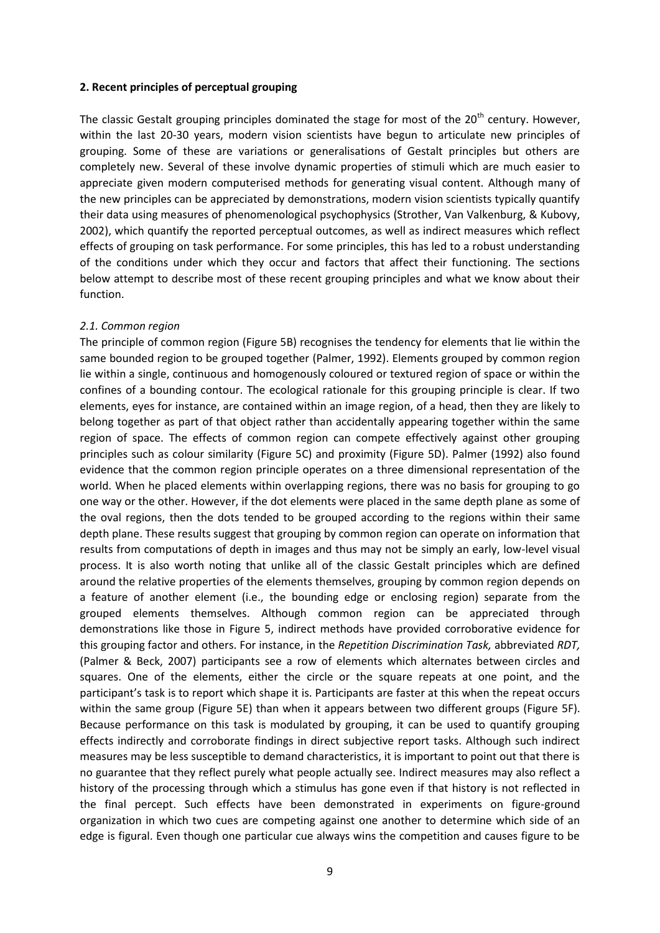#### **2. Recent principles of perceptual grouping**

The classic Gestalt grouping principles dominated the stage for most of the 20<sup>th</sup> century. However, within the last 20-30 years, modern vision scientists have begun to articulate new principles of grouping. Some of these are variations or generalisations of Gestalt principles but others are completely new. Several of these involve dynamic properties of stimuli which are much easier to appreciate given modern computerised methods for generating visual content. Although many of the new principles can be appreciated by demonstrations, modern vision scientists typically quantify their data using measures of phenomenological psychophysics (Strother, Van Valkenburg, & Kubovy, 2002), which quantify the reported perceptual outcomes, as well as indirect measures which reflect effects of grouping on task performance. For some principles, this has led to a robust understanding of the conditions under which they occur and factors that affect their functioning. The sections below attempt to describe most of these recent grouping principles and what we know about their function.

#### *2.1. Common region*

The principle of common region (Figure 5B) recognises the tendency for elements that lie within the same bounded region to be grouped together (Palmer, 1992). Elements grouped by common region lie within a single, continuous and homogenously coloured or textured region of space or within the confines of a bounding contour. The ecological rationale for this grouping principle is clear. If two elements, eyes for instance, are contained within an image region, of a head, then they are likely to belong together as part of that object rather than accidentally appearing together within the same region of space. The effects of common region can compete effectively against other grouping principles such as colour similarity (Figure 5C) and proximity (Figure 5D). Palmer (1992) also found evidence that the common region principle operates on a three dimensional representation of the world. When he placed elements within overlapping regions, there was no basis for grouping to go one way or the other. However, if the dot elements were placed in the same depth plane as some of the oval regions, then the dots tended to be grouped according to the regions within their same depth plane. These results suggest that grouping by common region can operate on information that results from computations of depth in images and thus may not be simply an early, low-level visual process. It is also worth noting that unlike all of the classic Gestalt principles which are defined around the relative properties of the elements themselves, grouping by common region depends on a feature of another element (i.e., the bounding edge or enclosing region) separate from the grouped elements themselves. Although common region can be appreciated through demonstrations like those in Figure 5, indirect methods have provided corroborative evidence for this grouping factor and others. For instance, in the *Repetition Discrimination Task,* abbreviated *RDT,* (Palmer & Beck, 2007) participants see a row of elements which alternates between circles and squares. One of the elements, either the circle or the square repeats at one point, and the participant's task is to report which shape it is. Participants are faster at this when the repeat occurs within the same group (Figure 5E) than when it appears between two different groups (Figure 5F). Because performance on this task is modulated by grouping, it can be used to quantify grouping effects indirectly and corroborate findings in direct subjective report tasks. Although such indirect measures may be less susceptible to demand characteristics, it is important to point out that there is no guarantee that they reflect purely what people actually see. Indirect measures may also reflect a history of the processing through which a stimulus has gone even if that history is not reflected in the final percept. Such effects have been demonstrated in experiments on figure-ground organization in which two cues are competing against one another to determine which side of an edge is figural. Even though one particular cue always wins the competition and causes figure to be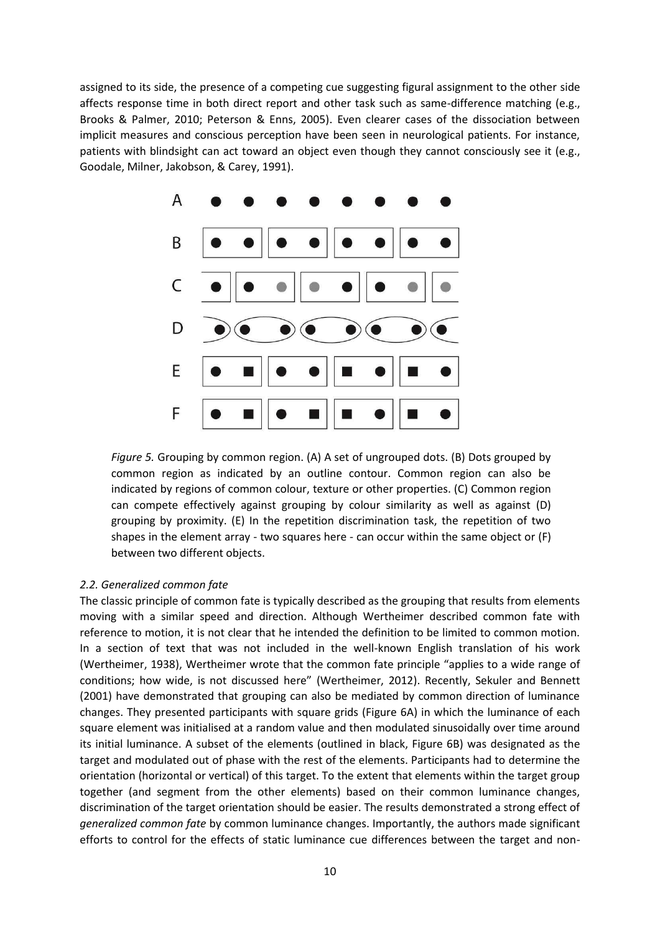assigned to its side, the presence of a competing cue suggesting figural assignment to the other side affects response time in both direct report and other task such as same-difference matching (e.g., Brooks & Palmer, 2010; Peterson & Enns, 2005). Even clearer cases of the dissociation between implicit measures and conscious perception have been seen in neurological patients. For instance, patients with blindsight can act toward an object even though they cannot consciously see it (e.g., Goodale, Milner, Jakobson, & Carey, 1991).



*Figure 5.* Grouping by common region. (A) A set of ungrouped dots. (B) Dots grouped by common region as indicated by an outline contour. Common region can also be indicated by regions of common colour, texture or other properties. (C) Common region can compete effectively against grouping by colour similarity as well as against (D) grouping by proximity. (E) In the repetition discrimination task, the repetition of two shapes in the element array - two squares here - can occur within the same object or (F) between two different objects.

#### *2.2. Generalized common fate*

The classic principle of common fate is typically described as the grouping that results from elements moving with a similar speed and direction. Although Wertheimer described common fate with reference to motion, it is not clear that he intended the definition to be limited to common motion. In a section of text that was not included in the well-known English translation of his work (Wertheimer, 1938), Wertheimer wrote that the common fate principle "applies to a wide range of conditions; how wide, is not discussed here" (Wertheimer, 2012). Recently, Sekuler and Bennett (2001) have demonstrated that grouping can also be mediated by common direction of luminance changes. They presented participants with square grids (Figure 6A) in which the luminance of each square element was initialised at a random value and then modulated sinusoidally over time around its initial luminance. A subset of the elements (outlined in black, Figure 6B) was designated as the target and modulated out of phase with the rest of the elements. Participants had to determine the orientation (horizontal or vertical) of this target. To the extent that elements within the target group together (and segment from the other elements) based on their common luminance changes, discrimination of the target orientation should be easier. The results demonstrated a strong effect of *generalized common fate* by common luminance changes. Importantly, the authors made significant efforts to control for the effects of static luminance cue differences between the target and non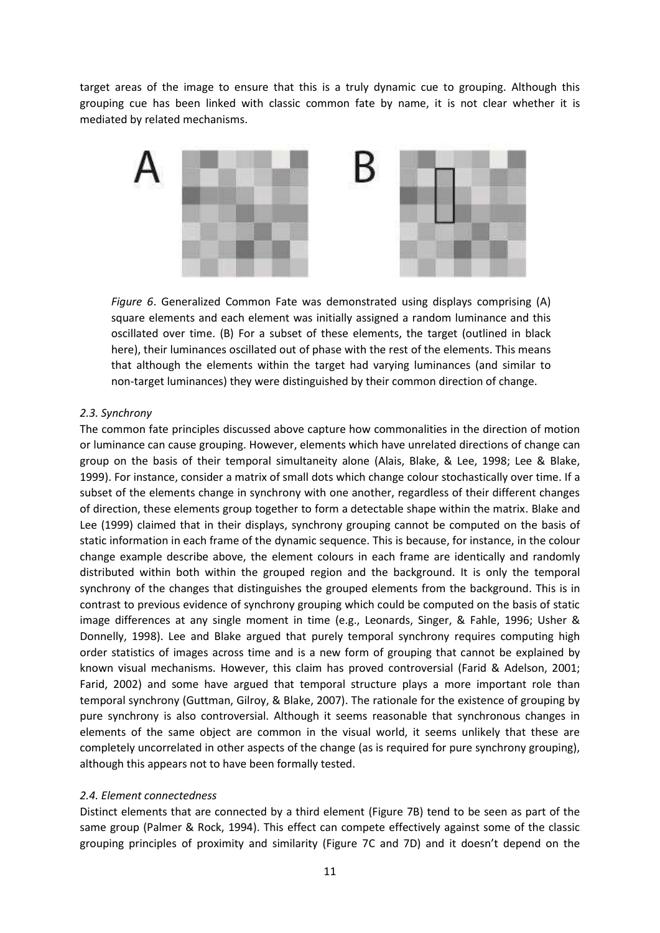target areas of the image to ensure that this is a truly dynamic cue to grouping. Although this grouping cue has been linked with classic common fate by name, it is not clear whether it is mediated by related mechanisms.



*Figure 6*. Generalized Common Fate was demonstrated using displays comprising (A) square elements and each element was initially assigned a random luminance and this oscillated over time. (B) For a subset of these elements, the target (outlined in black here), their luminances oscillated out of phase with the rest of the elements. This means that although the elements within the target had varying luminances (and similar to non-target luminances) they were distinguished by their common direction of change.

#### *2.3. Synchrony*

The common fate principles discussed above capture how commonalities in the direction of motion or luminance can cause grouping. However, elements which have unrelated directions of change can group on the basis of their temporal simultaneity alone (Alais, Blake, & Lee, 1998; Lee & Blake, 1999). For instance, consider a matrix of small dots which change colour stochastically over time. If a subset of the elements change in synchrony with one another, regardless of their different changes of direction, these elements group together to form a detectable shape within the matrix. Blake and Lee (1999) claimed that in their displays, synchrony grouping cannot be computed on the basis of static information in each frame of the dynamic sequence. This is because, for instance, in the colour change example describe above, the element colours in each frame are identically and randomly distributed within both within the grouped region and the background. It is only the temporal synchrony of the changes that distinguishes the grouped elements from the background. This is in contrast to previous evidence of synchrony grouping which could be computed on the basis of static image differences at any single moment in time (e.g., Leonards, Singer, & Fahle, 1996; Usher & Donnelly, 1998). Lee and Blake argued that purely temporal synchrony requires computing high order statistics of images across time and is a new form of grouping that cannot be explained by known visual mechanisms. However, this claim has proved controversial (Farid & Adelson, 2001; Farid, 2002) and some have argued that temporal structure plays a more important role than temporal synchrony (Guttman, Gilroy, & Blake, 2007). The rationale for the existence of grouping by pure synchrony is also controversial. Although it seems reasonable that synchronous changes in elements of the same object are common in the visual world, it seems unlikely that these are completely uncorrelated in other aspects of the change (as is required for pure synchrony grouping), although this appears not to have been formally tested.

#### *2.4. Element connectedness*

Distinct elements that are connected by a third element (Figure 7B) tend to be seen as part of the same group (Palmer & Rock, 1994). This effect can compete effectively against some of the classic grouping principles of proximity and similarity (Figure 7C and 7D) and it doesn't depend on the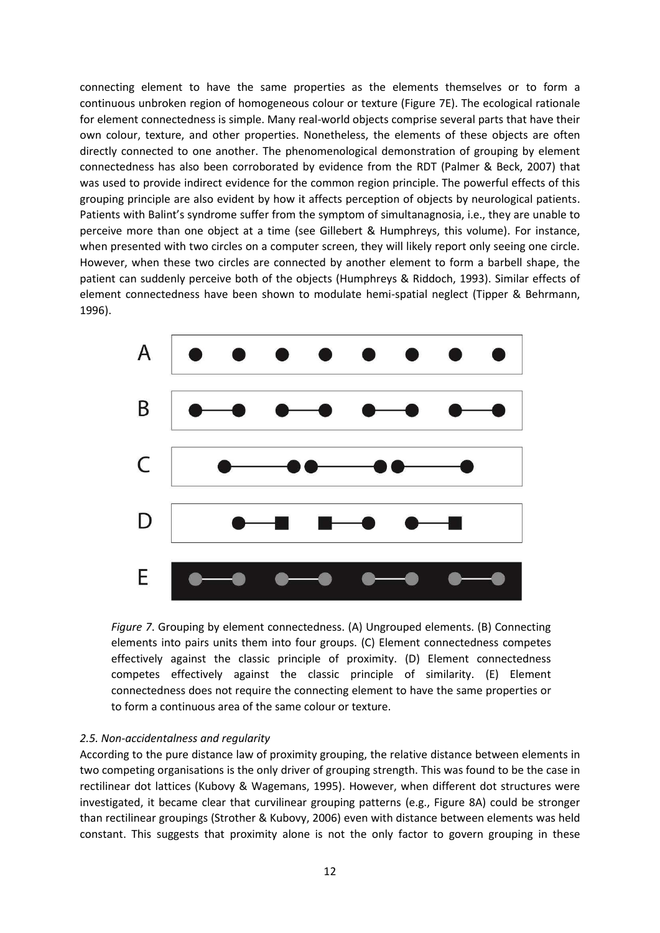connecting element to have the same properties as the elements themselves or to form a continuous unbroken region of homogeneous colour or texture (Figure 7E). The ecological rationale for element connectedness is simple. Many real-world objects comprise several parts that have their own colour, texture, and other properties. Nonetheless, the elements of these objects are often directly connected to one another. The phenomenological demonstration of grouping by element connectedness has also been corroborated by evidence from the RDT (Palmer & Beck, 2007) that was used to provide indirect evidence for the common region principle. The powerful effects of this grouping principle are also evident by how it affects perception of objects by neurological patients. Patients with Balint's syndrome suffer from the symptom of simultanagnosia, i.e., they are unable to perceive more than one object at a time (see Gillebert & Humphreys, this volume). For instance, when presented with two circles on a computer screen, they will likely report only seeing one circle. However, when these two circles are connected by another element to form a barbell shape, the patient can suddenly perceive both of the objects (Humphreys & Riddoch, 1993). Similar effects of element connectedness have been shown to modulate hemi-spatial neglect (Tipper & Behrmann, 1996).



*Figure 7*. Grouping by element connectedness. (A) Ungrouped elements. (B) Connecting elements into pairs units them into four groups. (C) Element connectedness competes effectively against the classic principle of proximity. (D) Element connectedness competes effectively against the classic principle of similarity. (E) Element connectedness does not require the connecting element to have the same properties or to form a continuous area of the same colour or texture.

#### *2.5. Non-accidentalness and regularity*

According to the pure distance law of proximity grouping, the relative distance between elements in two competing organisations is the only driver of grouping strength. This was found to be the case in rectilinear dot lattices (Kubovy & Wagemans, 1995). However, when different dot structures were investigated, it became clear that curvilinear grouping patterns (e.g., Figure 8A) could be stronger than rectilinear groupings (Strother & Kubovy, 2006) even with distance between elements was held constant. This suggests that proximity alone is not the only factor to govern grouping in these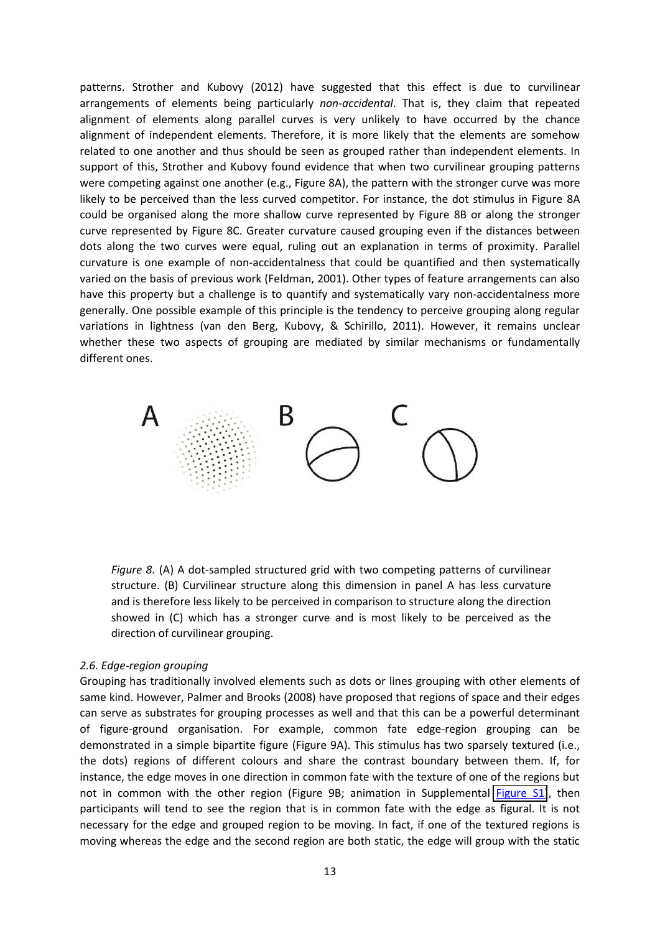patterns. Strother and Kubovy (2012) have suggested that this effect is due to curvilinear arrangements of elements being particularly *non-accidental*. That is, they claim that repeated alignment of elements along parallel curves is very unlikely to have occurred by the chance alignment of independent elements. Therefore, it is more likely that the elements are somehow related to one another and thus should be seen as grouped rather than independent elements. In support of this, Strother and Kubovy found evidence that when two curvilinear grouping patterns were competing against one another (e.g., Figure 8A), the pattern with the stronger curve was more likely to be perceived than the less curved competitor. For instance, the dot stimulus in Figure 8A could be organised along the more shallow curve represented by Figure 8B or along the stronger curve represented by Figure 8C. Greater curvature caused grouping even if the distances between dots along the two curves were equal, ruling out an explanation in terms of proximity. Parallel curvature is one example of non-accidentalness that could be quantified and then systematically varied on the basis of previous work (Feldman, 2001). Other types of feature arrangements can also have this property but a challenge is to quantify and systematically vary non-accidentalness more generally. One possible example of this principle is the tendency to perceive grouping along regular variations in lightness (van den Berg, Kubovy, & Schirillo, 2011). However, it remains unclear whether these two aspects of grouping are mediated by similar mechanisms or fundamentally different ones.



*Figure 8.* (A) A dot-sampled structured grid with two competing patterns of curvilinear structure. (B) Curvilinear structure along this dimension in panel A has less curvature and is therefore less likely to be perceived in comparison to structure along the direction showed in (C) which has a stronger curve and is most likely to be perceived as the direction of curvilinear grouping.

#### *2.6. Edge-region grouping*

Grouping has traditionally involved elements such as dots or lines grouping with other elements of same kind. However, Palmer and Brooks (2008) have proposed that regions of space and their edges can serve as substrates for grouping processes as well and that this can be a powerful determinant of figure-ground organisation. For example, common fate edge-region grouping can be demonstrated in a simple bipartite figure (Figure 9A). This stimulus has two sparsely textured (i.e., the dots) regions of different colours and share the contrast boundary between them. If, for instance, the edge moves in one direction in common fate with the texture of one of the regions but not in common with the other region (Figure 9B; animation in Supplemental [Figure S1\)](http://gestaltrevision.be/pdfs/oxford/movies/Brooks/FigureS1.gif), then participants will tend to see the region that is in common fate with the edge as figural. It is not necessary for the edge and grouped region to be moving. In fact, if one of the textured regions is moving whereas the edge and the second region are both static, the edge will group with the static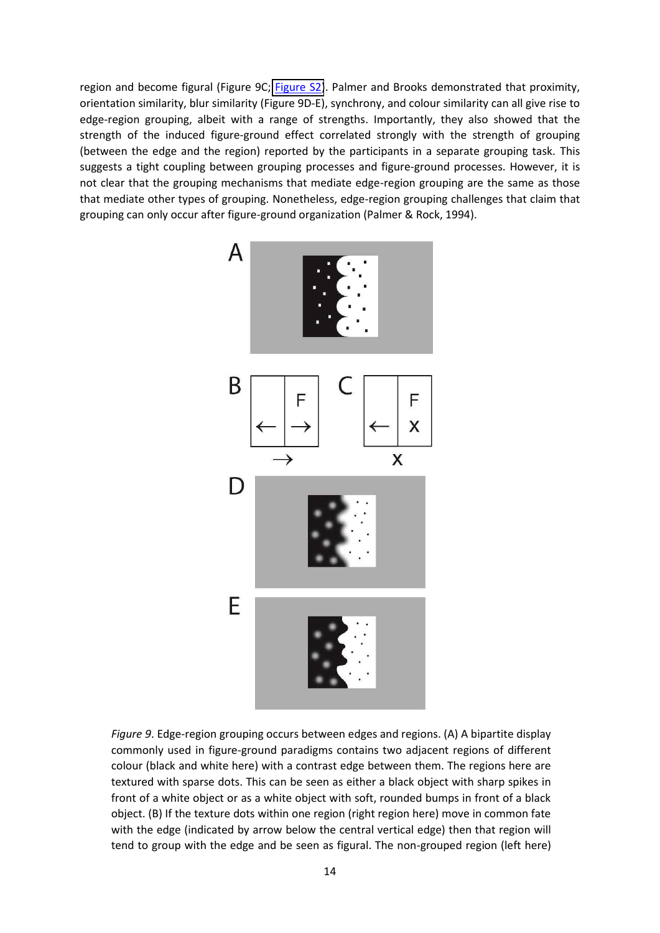region and become figural (Figure 9C; [Figure S2\)](http://gestaltrevision.be/pdfs/oxford/movies/Brooks/FigureS2.gif). Palmer and Brooks demonstrated that proximity, orientation similarity, blur similarity (Figure 9D-E), synchrony, and colour similarity can all give rise to edge-region grouping, albeit with a range of strengths. Importantly, they also showed that the strength of the induced figure-ground effect correlated strongly with the strength of grouping (between the edge and the region) reported by the participants in a separate grouping task. This suggests a tight coupling between grouping processes and figure-ground processes. However, it is not clear that the grouping mechanisms that mediate edge-region grouping are the same as those that mediate other types of grouping. Nonetheless, edge-region grouping challenges that claim that grouping can only occur after figure-ground organization (Palmer & Rock, 1994).



*Figure 9*. Edge-region grouping occurs between edges and regions. (A) A bipartite display commonly used in figure-ground paradigms contains two adjacent regions of different colour (black and white here) with a contrast edge between them. The regions here are textured with sparse dots. This can be seen as either a black object with sharp spikes in front of a white object or as a white object with soft, rounded bumps in front of a black object. (B) If the texture dots within one region (right region here) move in common fate with the edge (indicated by arrow below the central vertical edge) then that region will tend to group with the edge and be seen as figural. The non-grouped region (left here)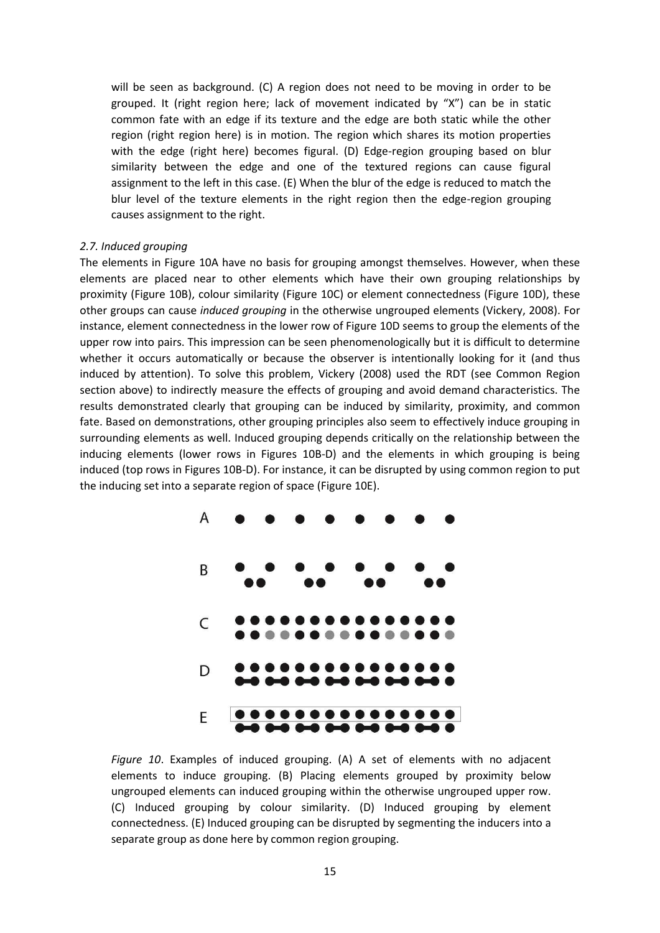will be seen as background. (C) A region does not need to be moving in order to be grouped. It (right region here; lack of movement indicated by "X") can be in static common fate with an edge if its texture and the edge are both static while the other region (right region here) is in motion. The region which shares its motion properties with the edge (right here) becomes figural. (D) Edge-region grouping based on blur similarity between the edge and one of the textured regions can cause figural assignment to the left in this case. (E) When the blur of the edge is reduced to match the blur level of the texture elements in the right region then the edge-region grouping causes assignment to the right.

#### *2.7. Induced grouping*

The elements in Figure 10A have no basis for grouping amongst themselves. However, when these elements are placed near to other elements which have their own grouping relationships by proximity (Figure 10B), colour similarity (Figure 10C) or element connectedness (Figure 10D), these other groups can cause *induced grouping* in the otherwise ungrouped elements (Vickery, 2008). For instance, element connectedness in the lower row of Figure 10D seems to group the elements of the upper row into pairs. This impression can be seen phenomenologically but it is difficult to determine whether it occurs automatically or because the observer is intentionally looking for it (and thus induced by attention). To solve this problem, Vickery (2008) used the RDT (see Common Region section above) to indirectly measure the effects of grouping and avoid demand characteristics. The results demonstrated clearly that grouping can be induced by similarity, proximity, and common fate. Based on demonstrations, other grouping principles also seem to effectively induce grouping in surrounding elements as well. Induced grouping depends critically on the relationship between the inducing elements (lower rows in Figures 10B-D) and the elements in which grouping is being induced (top rows in Figures 10B-D). For instance, it can be disrupted by using common region to put the inducing set into a separate region of space (Figure 10E).



*Figure 10*. Examples of induced grouping. (A) A set of elements with no adjacent elements to induce grouping. (B) Placing elements grouped by proximity below ungrouped elements can induced grouping within the otherwise ungrouped upper row. (C) Induced grouping by colour similarity. (D) Induced grouping by element connectedness. (E) Induced grouping can be disrupted by segmenting the inducers into a separate group as done here by common region grouping.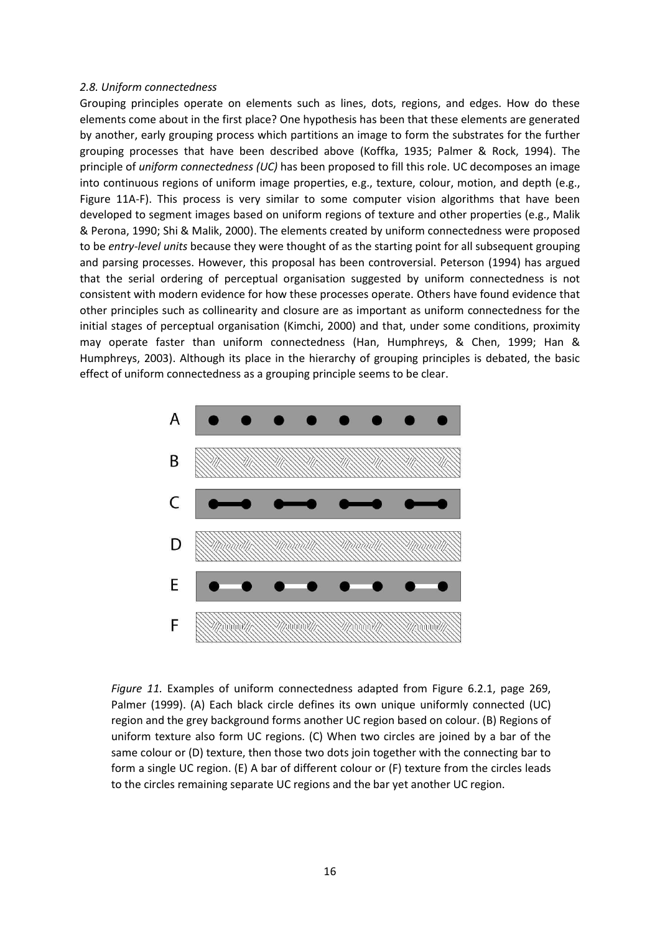#### *2.8. Uniform connectedness*

Grouping principles operate on elements such as lines, dots, regions, and edges. How do these elements come about in the first place? One hypothesis has been that these elements are generated by another, early grouping process which partitions an image to form the substrates for the further grouping processes that have been described above (Koffka, 1935; Palmer & Rock, 1994). The principle of *uniform connectedness (UC)* has been proposed to fill this role. UC decomposes an image into continuous regions of uniform image properties, e.g., texture, colour, motion, and depth (e.g., Figure 11A-F). This process is very similar to some computer vision algorithms that have been developed to segment images based on uniform regions of texture and other properties (e.g., Malik & Perona, 1990; Shi & Malik, 2000). The elements created by uniform connectedness were proposed to be *entry-level units* because they were thought of as the starting point for all subsequent grouping and parsing processes. However, this proposal has been controversial. Peterson (1994) has argued that the serial ordering of perceptual organisation suggested by uniform connectedness is not consistent with modern evidence for how these processes operate. Others have found evidence that other principles such as collinearity and closure are as important as uniform connectedness for the initial stages of perceptual organisation (Kimchi, 2000) and that, under some conditions, proximity may operate faster than uniform connectedness (Han, Humphreys, & Chen, 1999; Han & Humphreys, 2003). Although its place in the hierarchy of grouping principles is debated, the basic effect of uniform connectedness as a grouping principle seems to be clear.



*Figure 11.* Examples of uniform connectedness adapted from Figure 6.2.1, page 269, Palmer (1999). (A) Each black circle defines its own unique uniformly connected (UC) region and the grey background forms another UC region based on colour. (B) Regions of uniform texture also form UC regions. (C) When two circles are joined by a bar of the same colour or (D) texture, then those two dots join together with the connecting bar to form a single UC region. (E) A bar of different colour or (F) texture from the circles leads to the circles remaining separate UC regions and the bar yet another UC region.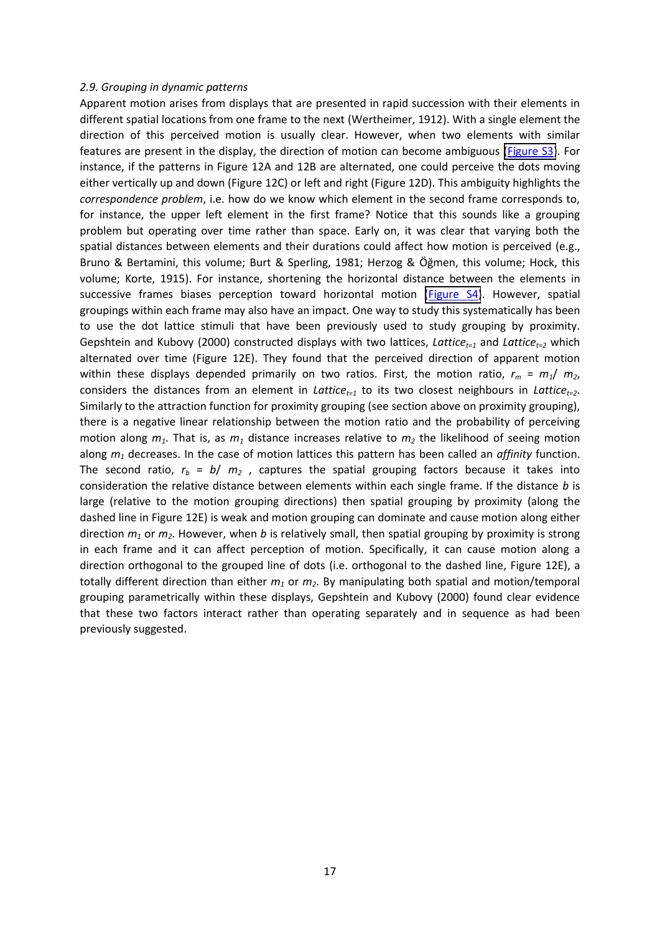#### *2.9. Grouping in dynamic patterns*

Apparent motion arises from displays that are presented in rapid succession with their elements in different spatial locations from one frame to the next (Wertheimer, 1912). With a single element the direction of this perceived motion is usually clear. However, when two elements with similar features are present in the display, the direction of motion can become ambiguous [\(Figure S3\)](http://gestaltrevision.be/pdfs/oxford/movies/Brooks/FigureS3.gif). For instance, if the patterns in Figure 12A and 12B are alternated, one could perceive the dots moving either vertically up and down (Figure 12C) or left and right (Figure 12D). This ambiguity highlights the *correspondence problem*, i.e. how do we know which element in the second frame corresponds to, for instance, the upper left element in the first frame? Notice that this sounds like a grouping problem but operating over time rather than space. Early on, it was clear that varying both the spatial distances between elements and their durations could affect how motion is perceived (e.g., Bruno & Bertamini, this volume; Burt & Sperling, 1981; Herzog & Öğmen, this volume; Hock, this volume; Korte, 1915). For instance, shortening the horizontal distance between the elements in successive frames biases perception toward horizontal motion [\(Figure S4\)](http://gestaltrevision.be/pdfs/oxford/movies/Brooks/FigureS4.gif). However, spatial groupings within each frame may also have an impact. One way to study this systematically has been to use the dot lattice stimuli that have been previously used to study grouping by proximity. Gepshtein and Kubovy (2000) constructed displays with two lattices, *Lattice*<sub>t=1</sub> and *Lattice*<sub>t=2</sub> which alternated over time (Figure 12E). They found that the perceived direction of apparent motion within these displays depended primarily on two ratios. First, the motion ratio,  $r_m = m_1/m_2$ , considers the distances from an element in *Latticet=1* to its two closest neighbours in *Latticet=2*. Similarly to the attraction function for proximity grouping (see section above on proximity grouping), there is a negative linear relationship between the motion ratio and the probability of perceiving motion along *m1*. That is, as *m1* distance increases relative to *m2* the likelihood of seeing motion along *m1* decreases. In the case of motion lattices this pattern has been called an *affinity* function. The second ratio,  $r_b = b/m_2$ , captures the spatial grouping factors because it takes into consideration the relative distance between elements within each single frame. If the distance *b* is large (relative to the motion grouping directions) then spatial grouping by proximity (along the dashed line in Figure 12E) is weak and motion grouping can dominate and cause motion along either direction *m<sup>1</sup>* or *m2*. However, when *b* is relatively small, then spatial grouping by proximity is strong in each frame and it can affect perception of motion. Specifically, it can cause motion along a direction orthogonal to the grouped line of dots (i.e. orthogonal to the dashed line, Figure 12E), a totally different direction than either  $m_1$  or  $m_2$ . By manipulating both spatial and motion/temporal grouping parametrically within these displays, Gepshtein and Kubovy (2000) found clear evidence that these two factors interact rather than operating separately and in sequence as had been previously suggested.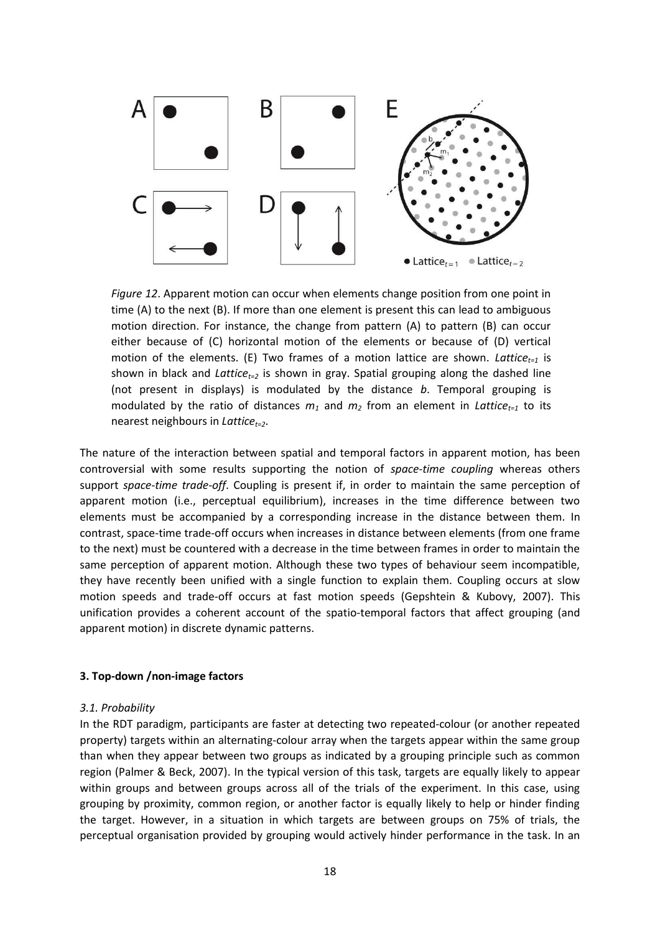

*Figure 12*. Apparent motion can occur when elements change position from one point in time (A) to the next (B). If more than one element is present this can lead to ambiguous motion direction. For instance, the change from pattern (A) to pattern (B) can occur either because of (C) horizontal motion of the elements or because of (D) vertical motion of the elements. (E) Two frames of a motion lattice are shown. *Lattice*<sub> $t=1$ </sub> is shown in black and *Latticet=2* is shown in gray. Spatial grouping along the dashed line (not present in displays) is modulated by the distance *b*. Temporal grouping is modulated by the ratio of distances  $m_1$  and  $m_2$  from an element in *Lattice*<sub>t=1</sub> to its nearest neighbours in *Latticet=2*.

The nature of the interaction between spatial and temporal factors in apparent motion, has been controversial with some results supporting the notion of *space-time coupling* whereas others support *space-time trade-off*. Coupling is present if, in order to maintain the same perception of apparent motion (i.e., perceptual equilibrium), increases in the time difference between two elements must be accompanied by a corresponding increase in the distance between them. In contrast, space-time trade-off occurs when increases in distance between elements (from one frame to the next) must be countered with a decrease in the time between frames in order to maintain the same perception of apparent motion. Although these two types of behaviour seem incompatible, they have recently been unified with a single function to explain them. Coupling occurs at slow motion speeds and trade-off occurs at fast motion speeds (Gepshtein & Kubovy, 2007). This unification provides a coherent account of the spatio-temporal factors that affect grouping (and apparent motion) in discrete dynamic patterns.

#### **3. Top-down /non-image factors**

#### *3.1. Probability*

In the RDT paradigm, participants are faster at detecting two repeated-colour (or another repeated property) targets within an alternating-colour array when the targets appear within the same group than when they appear between two groups as indicated by a grouping principle such as common region (Palmer & Beck, 2007). In the typical version of this task, targets are equally likely to appear within groups and between groups across all of the trials of the experiment. In this case, using grouping by proximity, common region, or another factor is equally likely to help or hinder finding the target. However, in a situation in which targets are between groups on 75% of trials, the perceptual organisation provided by grouping would actively hinder performance in the task. In an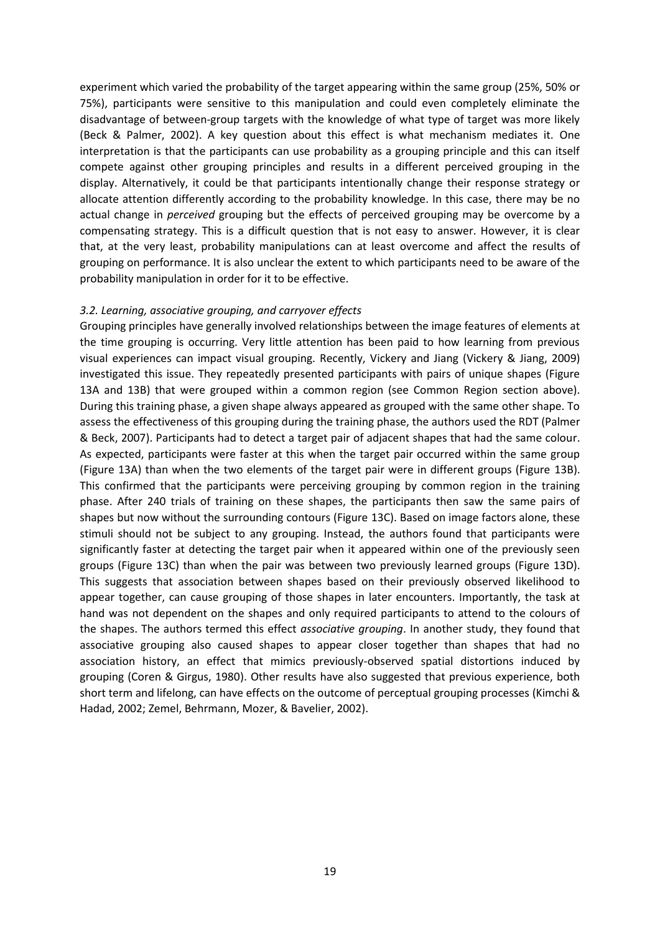experiment which varied the probability of the target appearing within the same group (25%, 50% or 75%), participants were sensitive to this manipulation and could even completely eliminate the disadvantage of between-group targets with the knowledge of what type of target was more likely (Beck & Palmer, 2002). A key question about this effect is what mechanism mediates it. One interpretation is that the participants can use probability as a grouping principle and this can itself compete against other grouping principles and results in a different perceived grouping in the display. Alternatively, it could be that participants intentionally change their response strategy or allocate attention differently according to the probability knowledge. In this case, there may be no actual change in *perceived* grouping but the effects of perceived grouping may be overcome by a compensating strategy. This is a difficult question that is not easy to answer. However, it is clear that, at the very least, probability manipulations can at least overcome and affect the results of grouping on performance. It is also unclear the extent to which participants need to be aware of the probability manipulation in order for it to be effective.

#### *3.2. Learning, associative grouping, and carryover effects*

Grouping principles have generally involved relationships between the image features of elements at the time grouping is occurring. Very little attention has been paid to how learning from previous visual experiences can impact visual grouping. Recently, Vickery and Jiang (Vickery & Jiang, 2009) investigated this issue. They repeatedly presented participants with pairs of unique shapes (Figure 13A and 13B) that were grouped within a common region (see Common Region section above). During this training phase, a given shape always appeared as grouped with the same other shape. To assess the effectiveness of this grouping during the training phase, the authors used the RDT (Palmer & Beck, 2007). Participants had to detect a target pair of adjacent shapes that had the same colour. As expected, participants were faster at this when the target pair occurred within the same group (Figure 13A) than when the two elements of the target pair were in different groups (Figure 13B). This confirmed that the participants were perceiving grouping by common region in the training phase. After 240 trials of training on these shapes, the participants then saw the same pairs of shapes but now without the surrounding contours (Figure 13C). Based on image factors alone, these stimuli should not be subject to any grouping. Instead, the authors found that participants were significantly faster at detecting the target pair when it appeared within one of the previously seen groups (Figure 13C) than when the pair was between two previously learned groups (Figure 13D). This suggests that association between shapes based on their previously observed likelihood to appear together, can cause grouping of those shapes in later encounters. Importantly, the task at hand was not dependent on the shapes and only required participants to attend to the colours of the shapes. The authors termed this effect *associative grouping*. In another study, they found that associative grouping also caused shapes to appear closer together than shapes that had no association history, an effect that mimics previously-observed spatial distortions induced by grouping (Coren & Girgus, 1980). Other results have also suggested that previous experience, both short term and lifelong, can have effects on the outcome of perceptual grouping processes (Kimchi & Hadad, 2002; Zemel, Behrmann, Mozer, & Bavelier, 2002).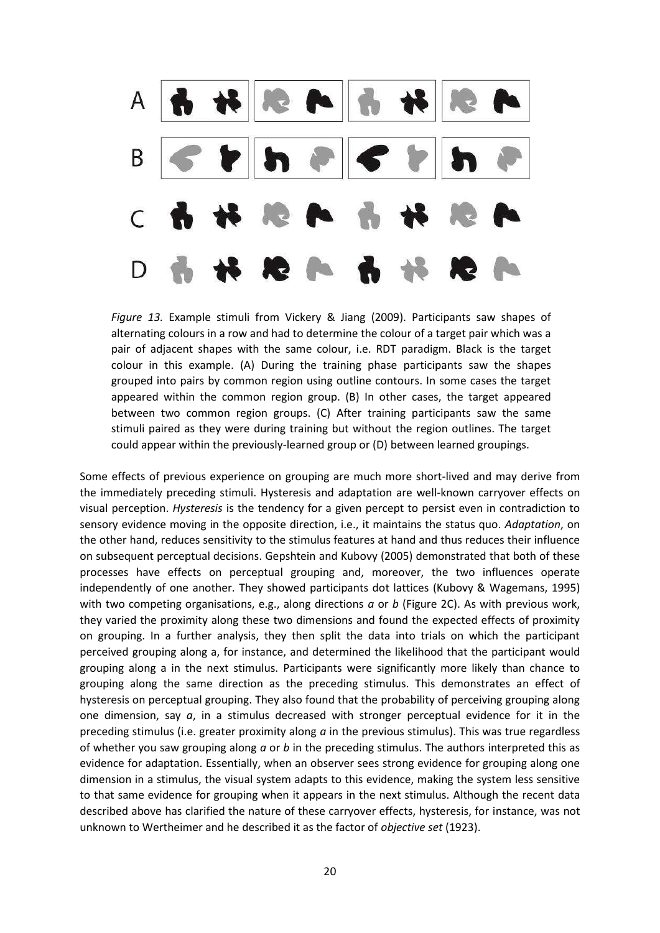

*Figure 13.* Example stimuli from Vickery & Jiang (2009). Participants saw shapes of alternating colours in a row and had to determine the colour of a target pair which was a pair of adjacent shapes with the same colour, i.e. RDT paradigm. Black is the target colour in this example. (A) During the training phase participants saw the shapes grouped into pairs by common region using outline contours. In some cases the target appeared within the common region group. (B) In other cases, the target appeared between two common region groups. (C) After training participants saw the same stimuli paired as they were during training but without the region outlines. The target could appear within the previously-learned group or (D) between learned groupings.

Some effects of previous experience on grouping are much more short-lived and may derive from the immediately preceding stimuli. Hysteresis and adaptation are well-known carryover effects on visual perception. *Hysteresis* is the tendency for a given percept to persist even in contradiction to sensory evidence moving in the opposite direction, i.e., it maintains the status quo. *Adaptation*, on the other hand, reduces sensitivity to the stimulus features at hand and thus reduces their influence on subsequent perceptual decisions. Gepshtein and Kubovy (2005) demonstrated that both of these processes have effects on perceptual grouping and, moreover, the two influences operate independently of one another. They showed participants dot lattices (Kubovy & Wagemans, 1995) with two competing organisations, e.g., along directions *a* or *b* (Figure 2C). As with previous work, they varied the proximity along these two dimensions and found the expected effects of proximity on grouping. In a further analysis, they then split the data into trials on which the participant perceived grouping along a, for instance, and determined the likelihood that the participant would grouping along a in the next stimulus. Participants were significantly more likely than chance to grouping along the same direction as the preceding stimulus. This demonstrates an effect of hysteresis on perceptual grouping. They also found that the probability of perceiving grouping along one dimension, say *a*, in a stimulus decreased with stronger perceptual evidence for it in the preceding stimulus (i.e. greater proximity along *a* in the previous stimulus). This was true regardless of whether you saw grouping along *a* or *b* in the preceding stimulus. The authors interpreted this as evidence for adaptation. Essentially, when an observer sees strong evidence for grouping along one dimension in a stimulus, the visual system adapts to this evidence, making the system less sensitive to that same evidence for grouping when it appears in the next stimulus. Although the recent data described above has clarified the nature of these carryover effects, hysteresis, for instance, was not unknown to Wertheimer and he described it as the factor of *objective set* (1923).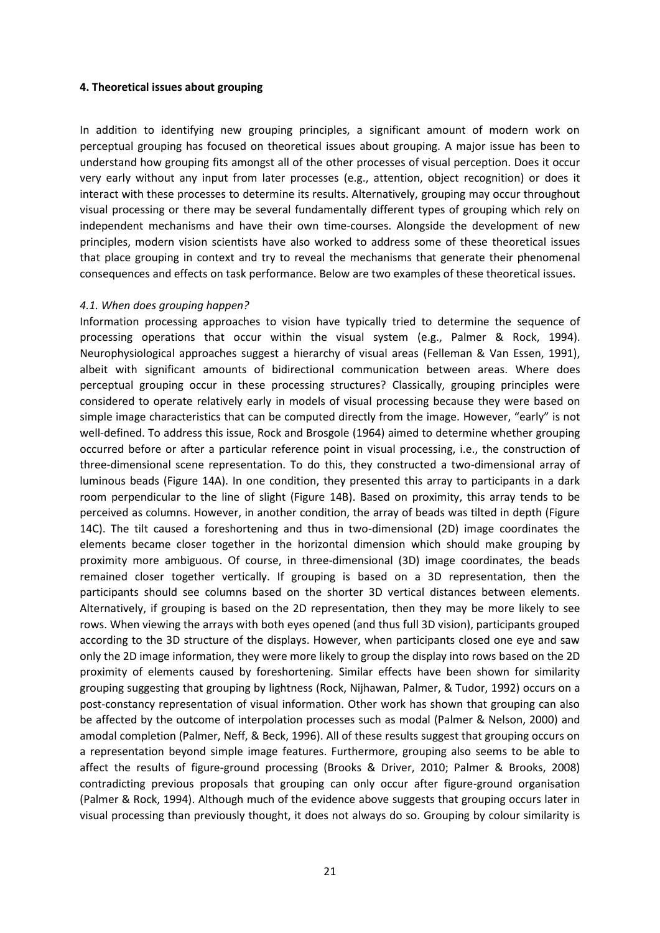#### **4. Theoretical issues about grouping**

In addition to identifying new grouping principles, a significant amount of modern work on perceptual grouping has focused on theoretical issues about grouping. A major issue has been to understand how grouping fits amongst all of the other processes of visual perception. Does it occur very early without any input from later processes (e.g., attention, object recognition) or does it interact with these processes to determine its results. Alternatively, grouping may occur throughout visual processing or there may be several fundamentally different types of grouping which rely on independent mechanisms and have their own time-courses. Alongside the development of new principles, modern vision scientists have also worked to address some of these theoretical issues that place grouping in context and try to reveal the mechanisms that generate their phenomenal consequences and effects on task performance. Below are two examples of these theoretical issues.

#### *4.1. When does grouping happen?*

Information processing approaches to vision have typically tried to determine the sequence of processing operations that occur within the visual system (e.g., Palmer & Rock, 1994). Neurophysiological approaches suggest a hierarchy of visual areas (Felleman & Van Essen, 1991), albeit with significant amounts of bidirectional communication between areas. Where does perceptual grouping occur in these processing structures? Classically, grouping principles were considered to operate relatively early in models of visual processing because they were based on simple image characteristics that can be computed directly from the image. However, "early" is not well-defined. To address this issue, Rock and Brosgole (1964) aimed to determine whether grouping occurred before or after a particular reference point in visual processing, i.e., the construction of three-dimensional scene representation. To do this, they constructed a two-dimensional array of luminous beads (Figure 14A). In one condition, they presented this array to participants in a dark room perpendicular to the line of slight (Figure 14B). Based on proximity, this array tends to be perceived as columns. However, in another condition, the array of beads was tilted in depth (Figure 14C). The tilt caused a foreshortening and thus in two-dimensional (2D) image coordinates the elements became closer together in the horizontal dimension which should make grouping by proximity more ambiguous. Of course, in three-dimensional (3D) image coordinates, the beads remained closer together vertically. If grouping is based on a 3D representation, then the participants should see columns based on the shorter 3D vertical distances between elements. Alternatively, if grouping is based on the 2D representation, then they may be more likely to see rows. When viewing the arrays with both eyes opened (and thus full 3D vision), participants grouped according to the 3D structure of the displays. However, when participants closed one eye and saw only the 2D image information, they were more likely to group the display into rows based on the 2D proximity of elements caused by foreshortening. Similar effects have been shown for similarity grouping suggesting that grouping by lightness (Rock, Nijhawan, Palmer, & Tudor, 1992) occurs on a post-constancy representation of visual information. Other work has shown that grouping can also be affected by the outcome of interpolation processes such as modal (Palmer & Nelson, 2000) and amodal completion (Palmer, Neff, & Beck, 1996). All of these results suggest that grouping occurs on a representation beyond simple image features. Furthermore, grouping also seems to be able to affect the results of figure-ground processing (Brooks & Driver, 2010; Palmer & Brooks, 2008) contradicting previous proposals that grouping can only occur after figure-ground organisation (Palmer & Rock, 1994). Although much of the evidence above suggests that grouping occurs later in visual processing than previously thought, it does not always do so. Grouping by colour similarity is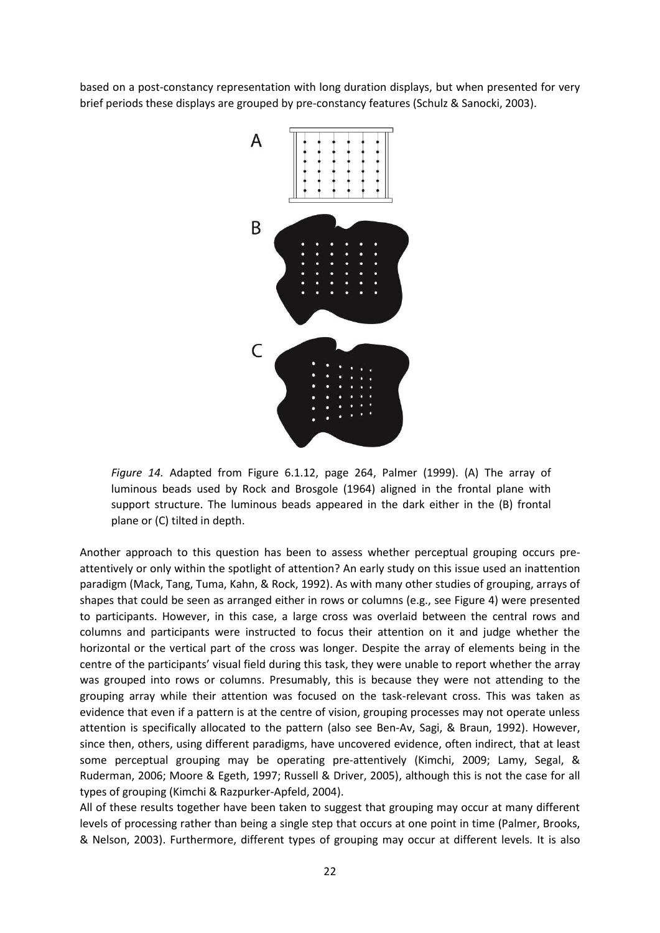based on a post-constancy representation with long duration displays, but when presented for very brief periods these displays are grouped by pre-constancy features (Schulz & Sanocki, 2003).



*Figure 14.* Adapted from Figure 6.1.12, page 264, Palmer (1999). (A) The array of luminous beads used by Rock and Brosgole (1964) aligned in the frontal plane with support structure. The luminous beads appeared in the dark either in the (B) frontal plane or (C) tilted in depth.

Another approach to this question has been to assess whether perceptual grouping occurs preattentively or only within the spotlight of attention? An early study on this issue used an inattention paradigm (Mack, Tang, Tuma, Kahn, & Rock, 1992). As with many other studies of grouping, arrays of shapes that could be seen as arranged either in rows or columns (e.g., see Figure 4) were presented to participants. However, in this case, a large cross was overlaid between the central rows and columns and participants were instructed to focus their attention on it and judge whether the horizontal or the vertical part of the cross was longer. Despite the array of elements being in the centre of the participants' visual field during this task, they were unable to report whether the array was grouped into rows or columns. Presumably, this is because they were not attending to the grouping array while their attention was focused on the task-relevant cross. This was taken as evidence that even if a pattern is at the centre of vision, grouping processes may not operate unless attention is specifically allocated to the pattern (also see Ben-Av, Sagi, & Braun, 1992). However, since then, others, using different paradigms, have uncovered evidence, often indirect, that at least some perceptual grouping may be operating pre-attentively (Kimchi, 2009; Lamy, Segal, & Ruderman, 2006; Moore & Egeth, 1997; Russell & Driver, 2005), although this is not the case for all types of grouping (Kimchi & Razpurker-Apfeld, 2004).

All of these results together have been taken to suggest that grouping may occur at many different levels of processing rather than being a single step that occurs at one point in time (Palmer, Brooks, & Nelson, 2003). Furthermore, different types of grouping may occur at different levels. It is also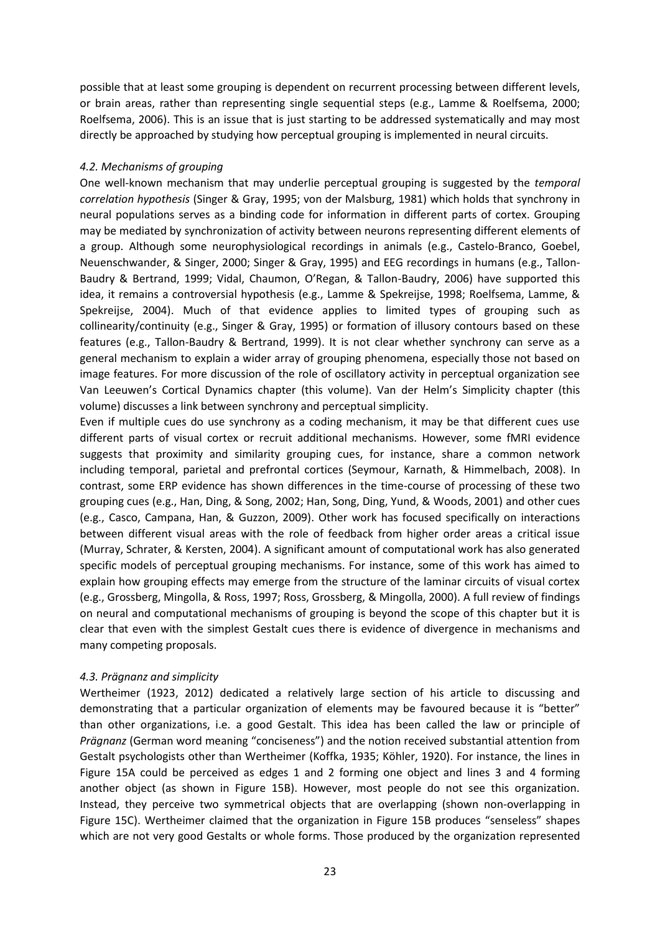possible that at least some grouping is dependent on recurrent processing between different levels, or brain areas, rather than representing single sequential steps (e.g., Lamme & Roelfsema, 2000; Roelfsema, 2006). This is an issue that is just starting to be addressed systematically and may most directly be approached by studying how perceptual grouping is implemented in neural circuits.

#### *4.2. Mechanisms of grouping*

One well-known mechanism that may underlie perceptual grouping is suggested by the *temporal correlation hypothesis* (Singer & Gray, 1995; von der Malsburg, 1981) which holds that synchrony in neural populations serves as a binding code for information in different parts of cortex. Grouping may be mediated by synchronization of activity between neurons representing different elements of a group. Although some neurophysiological recordings in animals (e.g., Castelo-Branco, Goebel, Neuenschwander, & Singer, 2000; Singer & Gray, 1995) and EEG recordings in humans (e.g., Tallon-Baudry & Bertrand, 1999; Vidal, Chaumon, O'Regan, & Tallon-Baudry, 2006) have supported this idea, it remains a controversial hypothesis (e.g., Lamme & Spekreijse, 1998; Roelfsema, Lamme, & Spekreijse, 2004). Much of that evidence applies to limited types of grouping such as collinearity/continuity (e.g., Singer & Gray, 1995) or formation of illusory contours based on these features (e.g., Tallon-Baudry & Bertrand, 1999). It is not clear whether synchrony can serve as a general mechanism to explain a wider array of grouping phenomena, especially those not based on image features. For more discussion of the role of oscillatory activity in perceptual organization see Van Leeuwen's Cortical Dynamics chapter (this volume). Van der Helm's Simplicity chapter (this volume) discusses a link between synchrony and perceptual simplicity.

Even if multiple cues do use synchrony as a coding mechanism, it may be that different cues use different parts of visual cortex or recruit additional mechanisms. However, some fMRI evidence suggests that proximity and similarity grouping cues, for instance, share a common network including temporal, parietal and prefrontal cortices (Seymour, Karnath, & Himmelbach, 2008). In contrast, some ERP evidence has shown differences in the time-course of processing of these two grouping cues (e.g., Han, Ding, & Song, 2002; Han, Song, Ding, Yund, & Woods, 2001) and other cues (e.g., Casco, Campana, Han, & Guzzon, 2009). Other work has focused specifically on interactions between different visual areas with the role of feedback from higher order areas a critical issue (Murray, Schrater, & Kersten, 2004). A significant amount of computational work has also generated specific models of perceptual grouping mechanisms. For instance, some of this work has aimed to explain how grouping effects may emerge from the structure of the laminar circuits of visual cortex (e.g., Grossberg, Mingolla, & Ross, 1997; Ross, Grossberg, & Mingolla, 2000). A full review of findings on neural and computational mechanisms of grouping is beyond the scope of this chapter but it is clear that even with the simplest Gestalt cues there is evidence of divergence in mechanisms and many competing proposals.

#### *4.3. Pr‰gnanz and simplicity*

Wertheimer (1923, 2012) dedicated a relatively large section of his article to discussing and demonstrating that a particular organization of elements may be favoured because it is "better" than other organizations, i.e. a good Gestalt. This idea has been called the law or principle of *Prägnanz* (German word meaning "conciseness") and the notion received substantial attention from Gestalt psychologists other than Wertheimer (Koffka, 1935; Köhler, 1920). For instance, the lines in Figure 15A could be perceived as edges 1 and 2 forming one object and lines 3 and 4 forming another object (as shown in Figure 15B). However, most people do not see this organization. Instead, they perceive two symmetrical objects that are overlapping (shown non-overlapping in Figure 15C). Wertheimer claimed that the organization in Figure 15B produces "senseless" shapes which are not very good Gestalts or whole forms. Those produced by the organization represented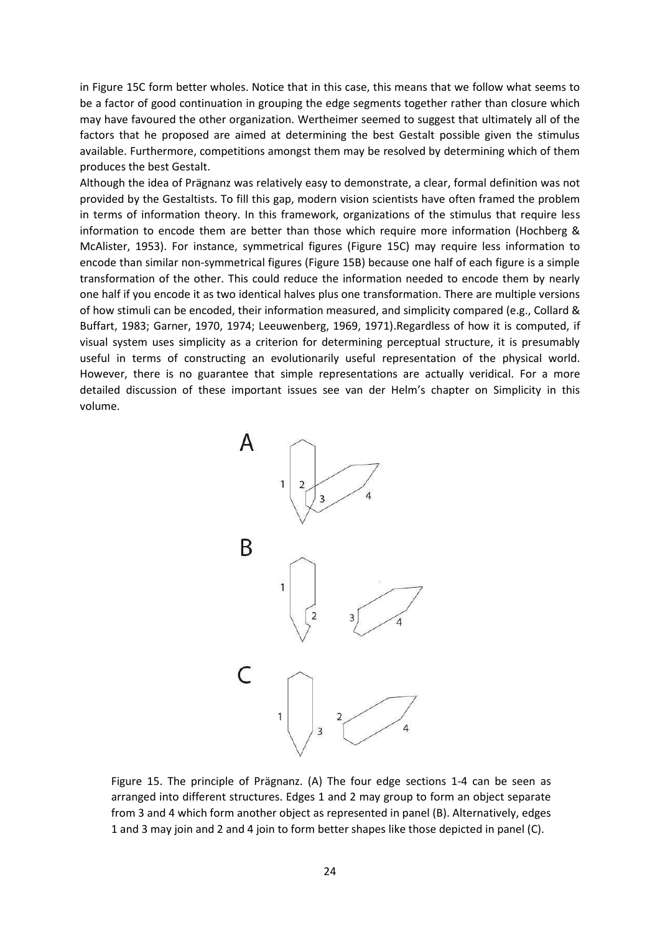in Figure 15C form better wholes. Notice that in this case, this means that we follow what seems to be a factor of good continuation in grouping the edge segments together rather than closure which may have favoured the other organization. Wertheimer seemed to suggest that ultimately all of the factors that he proposed are aimed at determining the best Gestalt possible given the stimulus available. Furthermore, competitions amongst them may be resolved by determining which of them produces the best Gestalt.

Although the idea of Prägnanz was relatively easy to demonstrate, a clear, formal definition was not provided by the Gestaltists. To fill this gap, modern vision scientists have often framed the problem in terms of information theory. In this framework, organizations of the stimulus that require less information to encode them are better than those which require more information (Hochberg & McAlister, 1953). For instance, symmetrical figures (Figure 15C) may require less information to encode than similar non-symmetrical figures (Figure 15B) because one half of each figure is a simple transformation of the other. This could reduce the information needed to encode them by nearly one half if you encode it as two identical halves plus one transformation. There are multiple versions of how stimuli can be encoded, their information measured, and simplicity compared (e.g., Collard & Buffart, 1983; Garner, 1970, 1974; Leeuwenberg, 1969, 1971).Regardless of how it is computed, if visual system uses simplicity as a criterion for determining perceptual structure, it is presumably useful in terms of constructing an evolutionarily useful representation of the physical world. However, there is no guarantee that simple representations are actually veridical. For a more detailed discussion of these important issues see van der Helm's chapter on Simplicity in this volume.



Figure 15. The principle of Prägnanz. (A) The four edge sections 1-4 can be seen as arranged into different structures. Edges 1 and 2 may group to form an object separate from 3 and 4 which form another object as represented in panel (B). Alternatively, edges 1 and 3 may join and 2 and 4 join to form better shapes like those depicted in panel (C).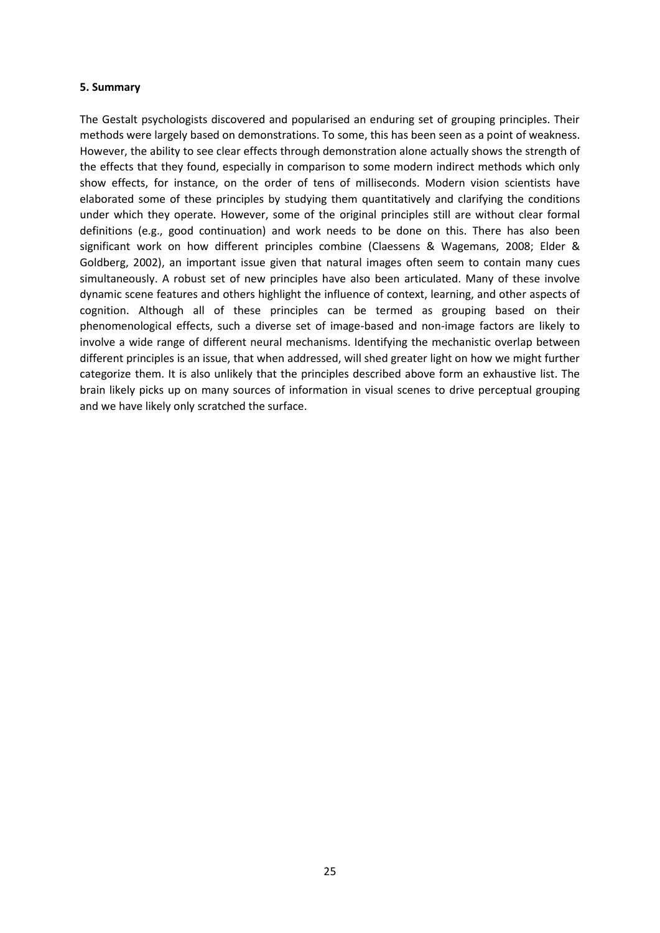#### **5. Summary**

The Gestalt psychologists discovered and popularised an enduring set of grouping principles. Their methods were largely based on demonstrations. To some, this has been seen as a point of weakness. However, the ability to see clear effects through demonstration alone actually shows the strength of the effects that they found, especially in comparison to some modern indirect methods which only show effects, for instance, on the order of tens of milliseconds. Modern vision scientists have elaborated some of these principles by studying them quantitatively and clarifying the conditions under which they operate. However, some of the original principles still are without clear formal definitions (e.g., good continuation) and work needs to be done on this. There has also been significant work on how different principles combine (Claessens & Wagemans, 2008; Elder & Goldberg, 2002), an important issue given that natural images often seem to contain many cues simultaneously. A robust set of new principles have also been articulated. Many of these involve dynamic scene features and others highlight the influence of context, learning, and other aspects of cognition. Although all of these principles can be termed as grouping based on their phenomenological effects, such a diverse set of image-based and non-image factors are likely to involve a wide range of different neural mechanisms. Identifying the mechanistic overlap between different principles is an issue, that when addressed, will shed greater light on how we might further categorize them. It is also unlikely that the principles described above form an exhaustive list. The brain likely picks up on many sources of information in visual scenes to drive perceptual grouping and we have likely only scratched the surface.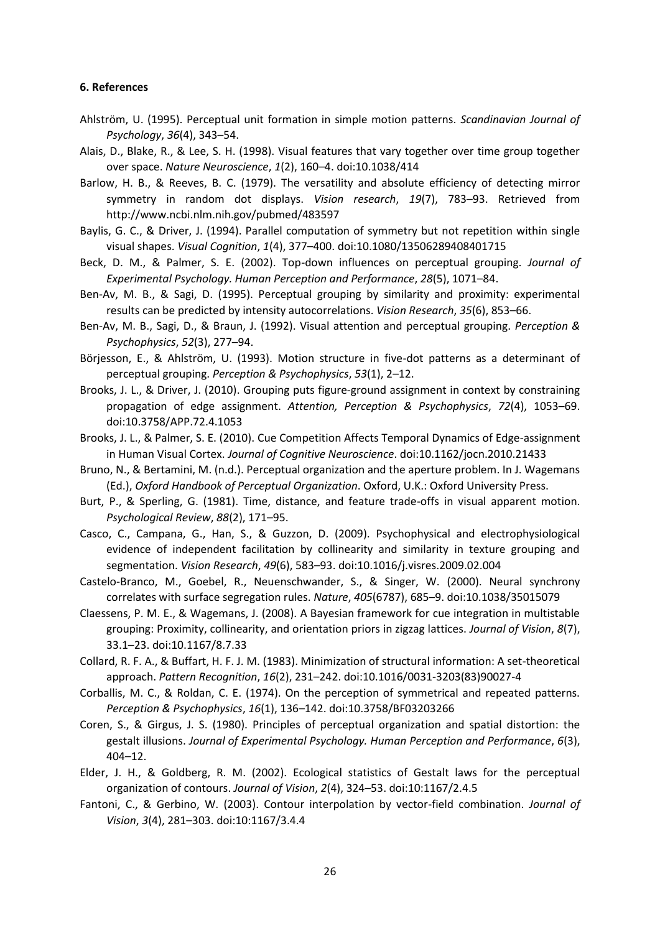#### **6. References**

- Ahlström, U. (1995). Perceptual unit formation in simple motion patterns. *Scandinavian Journal of Psychology*, 36(4), 343-54.
- Alais, D., Blake, R., & Lee, S. H. (1998). Visual features that vary together over time group together over space. *Nature Neuroscience*, 1(2), 160-4. doi:10.1038/414
- Barlow, H. B., & Reeves, B. C. (1979). The versatility and absolute efficiency of detecting mirror symmetry in random dot displays. Vision research, 19(7), 783-93. Retrieved from http://www.ncbi.nlm.nih.gov/pubmed/483597
- Baylis, G. C., & Driver, J. (1994). Parallel computation of symmetry but not repetition within single visual shapes. *Visual Cognition, 1*(4), 377-400. doi:10.1080/13506289408401715
- Beck, D. M., & Palmer, S. E. (2002). Top-down influences on perceptual grouping. *Journal of Experimental Psychology. Human Perception and Performance, 28(5), 1071-84.*
- Ben-Av, M. B., & Sagi, D. (1995). Perceptual grouping by similarity and proximity: experimental results can be predicted by intensity autocorrelations. *Vision Research*, 35(6), 853-66.
- Ben-Av, M. B., Sagi, D., & Braun, J. (1992). Visual attention and perceptual grouping. *Perception & Psychophysics*, 52(3), 277-94.
- Börjesson, E., & Ahlström, U. (1993). Motion structure in five-dot patterns as a determinant of perceptual grouping. *Perception & Psychophysics*, 53(1), 2-12.
- Brooks, J. L., & Driver, J. (2010). Grouping puts figure-ground assignment in context by constraining propagation of edge assignment. Attention, Perception & Psychophysics, 72(4), 1053–69. doi:10.3758/APP.72.4.1053
- Brooks, J. L., & Palmer, S. E. (2010). Cue Competition Affects Temporal Dynamics of Edge-assignment in Human Visual Cortex. *Journal of Cognitive Neuroscience*. doi:10.1162/jocn.2010.21433
- Bruno, N., & Bertamini, M. (n.d.). Perceptual organization and the aperture problem. In J. Wagemans (Ed.), *Oxford Handbook of Perceptual Organization*. Oxford, U.K.: Oxford University Press.
- Burt, P., & Sperling, G. (1981). Time, distance, and feature trade-offs in visual apparent motion. *Psychological Review, 88*(2), 171-95.
- Casco, C., Campana, G., Han, S., & Guzzon, D. (2009). Psychophysical and electrophysiological evidence of independent facilitation by collinearity and similarity in texture grouping and segmentation. *Vision Research*, 49(6), 583-93. doi:10.1016/j.visres.2009.02.004
- Castelo-Branco, M., Goebel, R., Neuenschwander, S., & Singer, W. (2000). Neural synchrony correlates with surface segregation rules. *Nature*, *405*(6787), 685-9. doi:10.1038/35015079
- Claessens, P. M. E., & Wagemans, J. (2008). A Bayesian framework for cue integration in multistable grouping: Proximity, collinearity, and orientation priors in zigzag lattices. *Journal of Vision*, *8*(7), 33.1に23. doi:10.1167/8.7.33
- Collard, R. F. A., & Buffart, H. F. J. M. (1983). Minimization of structural information: A set-theoretical approach. Pattern Recognition, 16(2), 231-242. doi:10.1016/0031-3203(83)90027-4
- Corballis, M. C., & Roldan, C. E. (1974). On the perception of symmetrical and repeated patterns. Perception & Psychophysics, 16(1), 136-142. doi:10.3758/BF03203266
- Coren, S., & Girgus, J. S. (1980). Principles of perceptual organization and spatial distortion: the gestalt illusions. *Journal of Experimental Psychology. Human Perception and Performance*, *6*(3),  $404 - 12$ .
- Elder, J. H., & Goldberg, R. M. (2002). Ecological statistics of Gestalt laws for the perceptual organization of contours. *Journal of Vision*, 2(4), 324-53. doi:10:1167/2.4.5
- Fantoni, C., & Gerbino, W. (2003). Contour interpolation by vector-field combination. *Journal of Vision, 3(4), 281-303. doi:10:1167/3.4.4*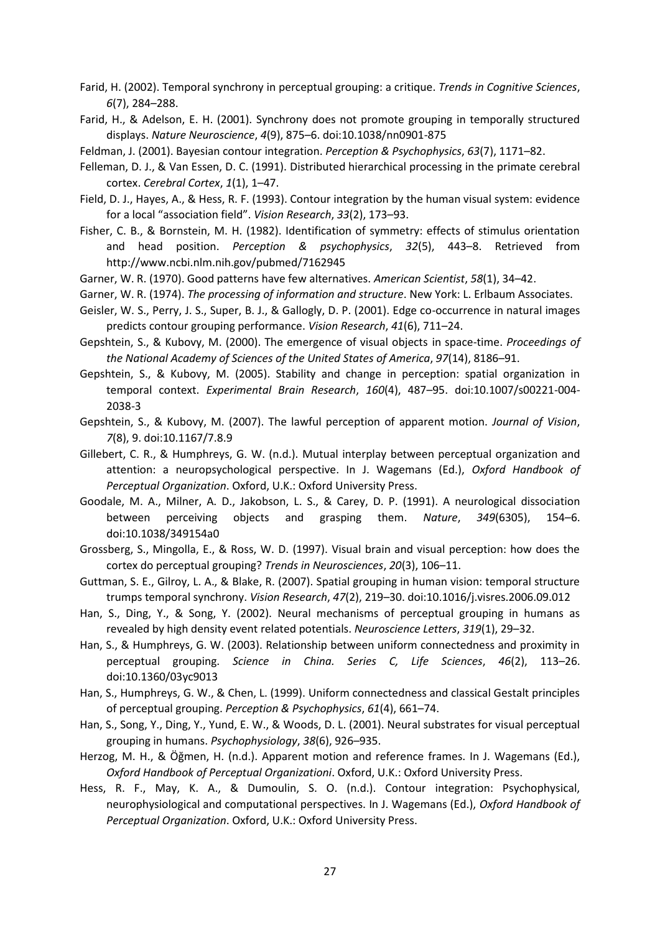- Farid, H. (2002). Temporal synchrony in perceptual grouping: a critique. *Trends in Cognitive Sciences*,  $6(7)$ , 284-288.
- Farid, H., & Adelson, E. H. (2001). Synchrony does not promote grouping in temporally structured displays. *Nature Neuroscience*, 4(9), 875-6. doi:10.1038/nn0901-875
- Feldman, J. (2001). Bayesian contour integration. *Perception & Psychophysics*, 63(7), 1171-82.
- Felleman, D. J., & Van Essen, D. C. (1991). Distributed hierarchical processing in the primate cerebral cortex. *Cerebral Cortex*, 1(1), 1-47.
- Field, D. J., Hayes, A., & Hess, R. F. (1993). Contour integration by the human visual system: evidence for a local "association field". *Vision Research*, 33(2), 173-93.
- Fisher, C. B., & Bornstein, M. H. (1982). Identification of symmetry: effects of stimulus orientation and head position. *Perception & psychophysics*, 32(5), 443–8. Retrieved from http://www.ncbi.nlm.nih.gov/pubmed/7162945
- Garner, W. R. (1970). Good patterns have few alternatives. American Scientist, 58(1), 34-42.
- Garner, W. R. (1974). *The processing of information and structure*. New York: L. Erlbaum Associates.
- Geisler, W. S., Perry, J. S., Super, B. J., & Gallogly, D. P. (2001). Edge co-occurrence in natural images predicts contour grouping performance. *Vision Research*, 41(6), 711–24.
- Gepshtein, S., & Kubovy, M. (2000). The emergence of visual objects in space-time. *Proceedings of the National Academy of Sciences of the United States of America, 97(14), 8186-91.*
- Gepshtein, S., & Kubovy, M. (2005). Stability and change in perception: spatial organization in temporal context. *Experimental Brain Research*, 160(4), 487-95. doi:10.1007/s00221-004-2038-3
- Gepshtein, S., & Kubovy, M. (2007). The lawful perception of apparent motion. *Journal of Vision*, *7*(8), 9. doi:10.1167/7.8.9
- Gillebert, C. R., & Humphreys, G. W. (n.d.). Mutual interplay between perceptual organization and attention: a neuropsychological perspective. In J. Wagemans (Ed.), *Oxford Handbook of Perceptual Organization*. Oxford, U.K.: Oxford University Press.
- Goodale, M. A., Milner, A. D., Jakobson, L. S., & Carey, D. P. (1991). A neurological dissociation between perceiving objects and grasping them. *Nature*, 349(6305), 154–6. doi:10.1038/349154a0
- Grossberg, S., Mingolla, E., & Ross, W. D. (1997). Visual brain and visual perception: how does the cortex do perceptual grouping? *Trends in Neurosciences, 20*(3), 106-11.
- Guttman, S. E., Gilroy, L. A., & Blake, R. (2007). Spatial grouping in human vision: temporal structure trumps temporal synchrony. *Vision Research, 47*(2), 219-30. doi:10.1016/j.visres.2006.09.012
- Han, S., Ding, Y., & Song, Y. (2002). Neural mechanisms of perceptual grouping in humans as revealed by high density event related potentials. *Neuroscience Letters*, 319(1), 29-32.
- Han, S., & Humphreys, G. W. (2003). Relationship between uniform connectedness and proximity in perceptual grouping. *Science in China. Series C, Life Sciences*, 46(2), 113–26. doi:10.1360/03yc9013
- Han, S., Humphreys, G. W., & Chen, L. (1999). Uniform connectedness and classical Gestalt principles of perceptual grouping. *Perception & Psychophysics*, 61(4), 661-74.
- Han, S., Song, Y., Ding, Y., Yund, E. W., & Woods, D. L. (2001). Neural substrates for visual perceptual grouping in humans. *Psychophysiology*, 38(6), 926-935.
- Herzog, M. H., & Öğmen, H. (n.d.). Apparent motion and reference frames. In J. Wagemans (Ed.), *Oxford Handbook of Perceptual Organizationi*. Oxford, U.K.: Oxford University Press.
- Hess, R. F., May, K. A., & Dumoulin, S. O. (n.d.). Contour integration: Psychophysical, neurophysiological and computational perspectives. In J. Wagemans (Ed.), *Oxford Handbook of Perceptual Organization*. Oxford, U.K.: Oxford University Press.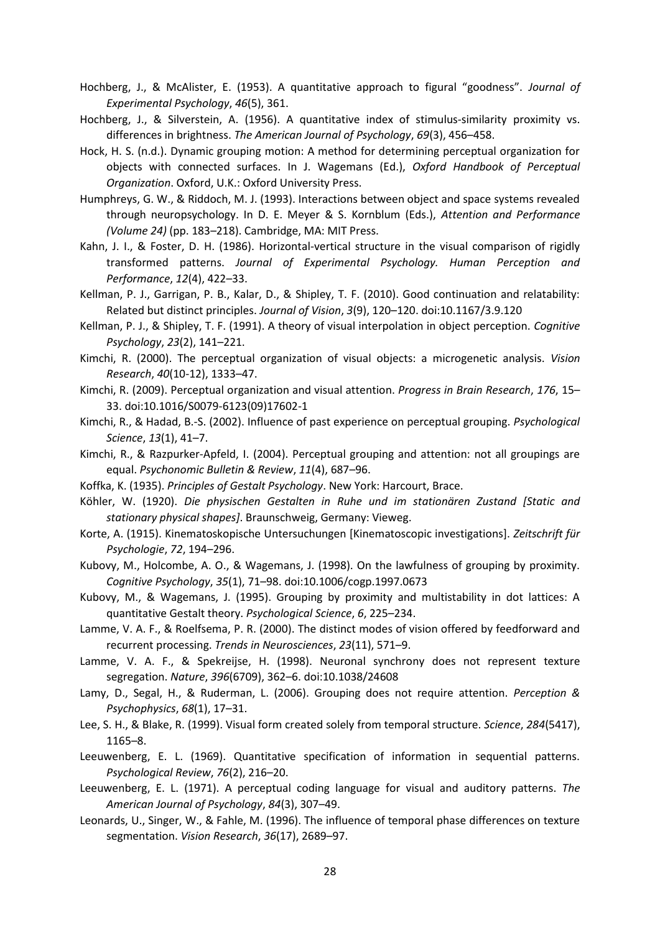- Hochberg, J., & McAlister, E. (1953). A quantitative approach to figural "goodness". Journal of *Experimental Psychology*, *46*(5), 361.
- Hochberg, J., & Silverstein, A. (1956). A quantitative index of stimulus-similarity proximity vs. differences in brightness. *The American Journal of Psychology*, 69(3), 456-458.
- Hock, H. S. (n.d.). Dynamic grouping motion: A method for determining perceptual organization for objects with connected surfaces. In J. Wagemans (Ed.), *Oxford Handbook of Perceptual Organization*. Oxford, U.K.: Oxford University Press.
- Humphreys, G. W., & Riddoch, M. J. (1993). Interactions between object and space systems revealed through neuropsychology. In D. E. Meyer & S. Kornblum (Eds.), *Attention and Performance (Volume 24)* (pp. 183-218). Cambridge, MA: MIT Press.
- Kahn, J. I., & Foster, D. H. (1986). Horizontal-vertical structure in the visual comparison of rigidly transformed patterns. *Journal of Experimental Psychology. Human Perception and Performance*, 12(4), 422-33.
- Kellman, P. J., Garrigan, P. B., Kalar, D., & Shipley, T. F. (2010). Good continuation and relatability: Related but distinct principles. *Journal of Vision*, 3(9), 120-120. doi:10.1167/3.9.120
- Kellman, P. J., & Shipley, T. F. (1991). A theory of visual interpolation in object perception. *Cognitive Psychology, 23(2), 141-221.*
- Kimchi, R. (2000). The perceptual organization of visual objects: a microgenetic analysis. *Vision Research, 40*(10-12), 1333-47.
- Kimchi, R. (2009). Perceptual organization and visual attention. *Progress in Brain Research*, 176, 15– 33. doi:10.1016/S0079-6123(09)17602-1
- Kimchi, R., & Hadad, B.-S. (2002). Influence of past experience on perceptual grouping. *Psychological Science*, 13(1), 41-7.
- Kimchi, R., & Razpurker-Apfeld, I. (2004). Perceptual grouping and attention: not all groupings are equal. Psychonomic Bulletin & Review, 11(4), 687-96.
- Koffka, K. (1935). *Principles of Gestalt Psychology*. New York: Harcourt, Brace.
- Köhler, W. (1920). *Die physischen Gestalten in Ruhe und im stationären Zustand [Static and stationary physical shapes]*. Braunschweig, Germany: Vieweg.
- Korte, A. (1915). Kinematoskopische Untersuchungen [Kinematoscopic investigations]. Zeitschrift für *Psychologie*, *72*, 194に296.
- Kubovy, M., Holcombe, A. O., & Wagemans, J. (1998). On the lawfulness of grouping by proximity. *Cognitive Psychology*, *35*(1), 71に98. doi:10.1006/cogp.1997.0673
- Kubovy, M., & Wagemans, J. (1995). Grouping by proximity and multistability in dot lattices: A quantitative Gestalt theory. Psychological Science, 6, 225-234.
- Lamme, V. A. F., & Roelfsema, P. R. (2000). The distinct modes of vision offered by feedforward and recurrent processing. *Trends in Neurosciences*, 23(11), 571-9.
- Lamme, V. A. F., & Spekreijse, H. (1998). Neuronal synchrony does not represent texture segregation. *Nature*, 396(6709), 362-6. doi:10.1038/24608
- Lamy, D., Segal, H., & Ruderman, L. (2006). Grouping does not require attention. *Perception & Psychophysics*,  $68(1)$ , 17-31.
- Lee, S. H., & Blake, R. (1999). Visual form created solely from temporal structure. *Science*, *284*(5417), 1165-8.
- Leeuwenberg, E. L. (1969). Quantitative specification of information in sequential patterns. *Psychological Review, 76(2), 216-20.*
- Leeuwenberg, E. L. (1971). A perceptual coding language for visual and auditory patterns. *The American Journal of Psychology, 84(3), 307-49.*
- Leonards, U., Singer, W., & Fahle, M. (1996). The influence of temporal phase differences on texture segmentation. Vision Research, 36(17), 2689-97.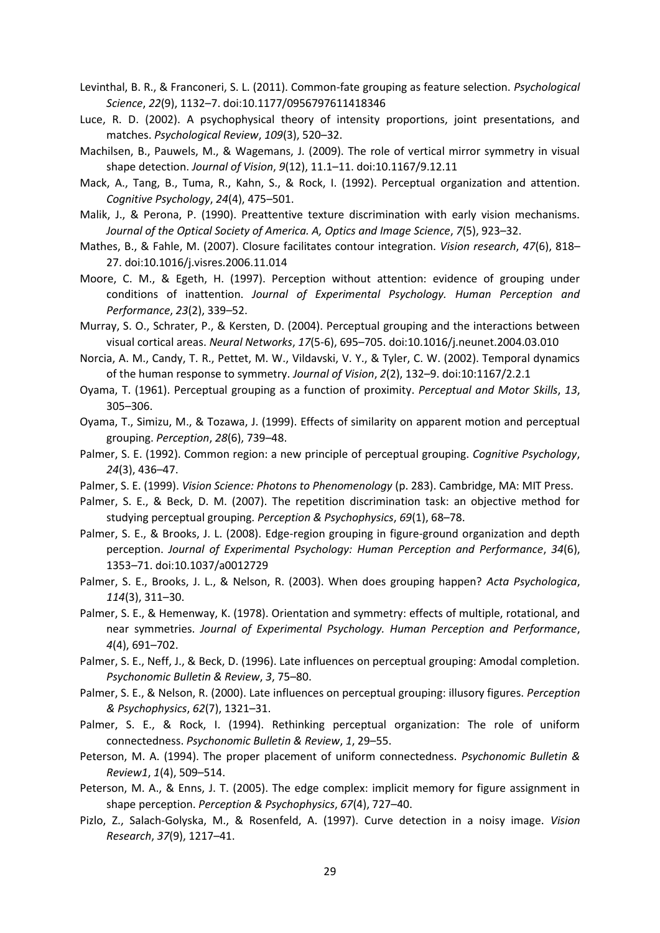- Levinthal, B. R., & Franconeri, S. L. (2011). Common-fate grouping as feature selection. *Psychological*  Science, 22(9), 1132-7. doi:10.1177/0956797611418346
- Luce, R. D. (2002). A psychophysical theory of intensity proportions, joint presentations, and matches. Psychological Review, 109(3), 520-32.
- Machilsen, B., Pauwels, M., & Wagemans, J. (2009). The role of vertical mirror symmetry in visual shape detection. *Journal of Vision*,  $9(12)$ , 11.1-11. doi:10.1167/9.12.11
- Mack, A., Tang, B., Tuma, R., Kahn, S., & Rock, I. (1992). Perceptual organization and attention. *Cognitive Psychology, 24(4), 475-501.*
- Malik, J., & Perona, P. (1990). Preattentive texture discrimination with early vision mechanisms. *Journal of the Optical Society of America. A, Optics and Image Science, 7(5), 923-32.*
- Mathes, B., & Fahle, M. (2007). Closure facilitates contour integration. *Vision research*, 47(6), 818– 27. doi:10.1016/j.visres.2006.11.014
- Moore, C. M., & Egeth, H. (1997). Perception without attention: evidence of grouping under conditions of inattention. *Journal of Experimental Psychology. Human Perception and Performance*, 23(2), 339-52.
- Murray, S. O., Schrater, P., & Kersten, D. (2004). Perceptual grouping and the interactions between visual cortical areas. *Neural Networks*, 17(5-6), 695-705. doi:10.1016/j.neunet.2004.03.010
- Norcia, A. M., Candy, T. R., Pettet, M. W., Vildavski, V. Y., & Tyler, C. W. (2002). Temporal dynamics of the human response to symmetry. *Journal of Vision*, 2(2), 132-9. doi:10:1167/2.2.1
- Oyama, T. (1961). Perceptual grouping as a function of proximity. *Perceptual and Motor Skills*, *13*, 305-306.
- Oyama, T., Simizu, M., & Tozawa, J. (1999). Effects of similarity on apparent motion and perceptual grouping. *Perception*, 28(6), 739-48.
- Palmer, S. E. (1992). Common region: a new principle of perceptual grouping. *Cognitive Psychology*, 24(3), 436-47.
- Palmer, S. E. (1999). *Vision Science: Photons to Phenomenology* (p. 283). Cambridge, MA: MIT Press.
- Palmer, S. E., & Beck, D. M. (2007). The repetition discrimination task: an objective method for studying perceptual grouping. *Perception & Psychophysics*, 69(1), 68-78.
- Palmer, S. E., & Brooks, J. L. (2008). Edge-region grouping in figure-ground organization and depth perception. *Journal of Experimental Psychology: Human Perception and Performance*, *34*(6), 1353に71. doi:10.1037/a0012729
- Palmer, S. E., Brooks, J. L., & Nelson, R. (2003). When does grouping happen? *Acta Psychologica*, *114*(3), 311–30.
- Palmer, S. E., & Hemenway, K. (1978). Orientation and symmetry: effects of multiple, rotational, and near symmetries. *Journal of Experimental Psychology. Human Perception and Performance*, *4*(4), 691–702.
- Palmer, S. E., Neff, J., & Beck, D. (1996). Late influences on perceptual grouping: Amodal completion. *Psychonomic Bulletin & Review, 3, 75-80.*
- Palmer, S. E., & Nelson, R. (2000). Late influences on perceptual grouping: illusory figures. *Perception & Psychophysics*,  $62(7)$ , 1321-31.
- Palmer, S. E., & Rock, I. (1994). Rethinking perceptual organization: The role of uniform connectedness. *Psychonomic Bulletin & Review*, 1, 29-55.
- Peterson, M. A. (1994). The proper placement of uniform connectedness. *Psychonomic Bulletin & Review1*, *1*(4), 509に514.
- Peterson, M. A., & Enns, J. T. (2005). The edge complex: implicit memory for figure assignment in shape perception. *Perception & Psychophysics*, 67(4), 727-40.
- Pizlo, Z., Salach-Golyska, M., & Rosenfeld, A. (1997). Curve detection in a noisy image. *Vision Research*, 37(9), 1217-41.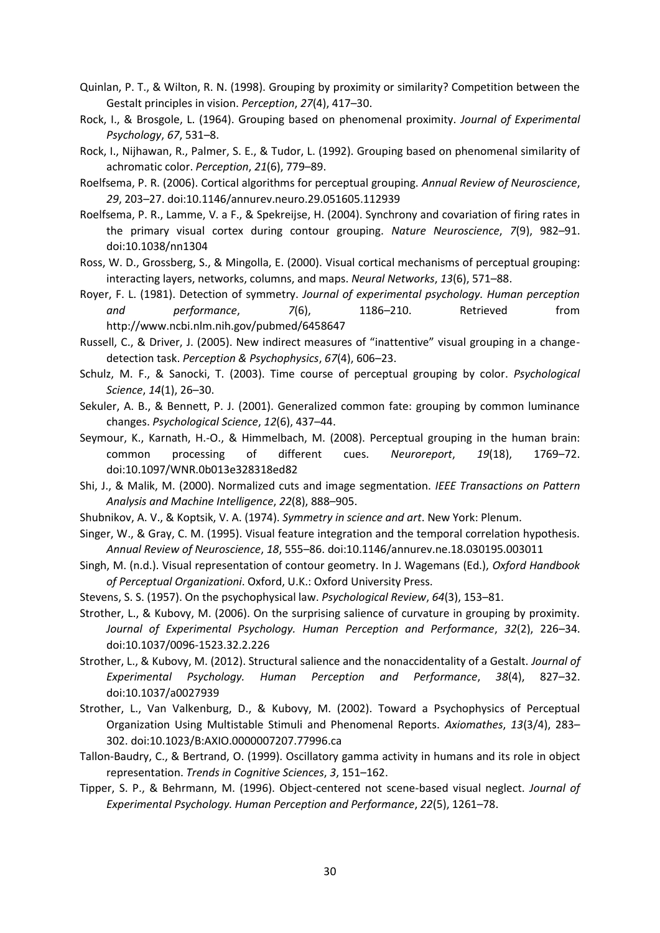- Quinlan, P. T., & Wilton, R. N. (1998). Grouping by proximity or similarity? Competition between the Gestalt principles in vision. *Perception*, 27(4), 417-30.
- Rock, I., & Brosgole, L. (1964). Grouping based on phenomenal proximity. *Journal of Experimental Psychology*, 67, 531-8.
- Rock, I., Nijhawan, R., Palmer, S. E., & Tudor, L. (1992). Grouping based on phenomenal similarity of achromatic color. *Perception*, 21(6), 779-89.
- Roelfsema, P. R. (2006). Cortical algorithms for perceptual grouping. *Annual Review of Neuroscience*, 29, 203-27. doi:10.1146/annurev.neuro.29.051605.112939
- Roelfsema, P. R., Lamme, V. a F., & Spekreijse, H. (2004). Synchrony and covariation of firing rates in the primary visual cortex during contour grouping. *Nature Neuroscience*, 7(9), 982-91. doi:10.1038/nn1304
- Ross, W. D., Grossberg, S., & Mingolla, E. (2000). Visual cortical mechanisms of perceptual grouping: interacting layers, networks, columns, and maps. *Neural Networks*, 13(6), 571-88.
- Royer, F. L. (1981). Detection of symmetry. *Journal of experimental psychology. Human perception and performance.* 7(6). 1186–210. Retrieved from http://www.ncbi.nlm.nih.gov/pubmed/6458647
- Russell, C., & Driver, J. (2005). New indirect measures of "inattentive" visual grouping in a changedetection task. *Perception & Psychophysics*, 67(4), 606-23.
- Schulz, M. F., & Sanocki, T. (2003). Time course of perceptual grouping by color. *Psychological Science*,  $14(1)$ , 26-30.
- Sekuler, A. B., & Bennett, P. J. (2001). Generalized common fate: grouping by common luminance changes. Psychological Science, 12(6), 437-44.
- Seymour, K., Karnath, H.-O., & Himmelbach, M. (2008). Perceptual grouping in the human brain: common processing of different cues. *Neuroreport*, 19(18), 1769-72. doi:10.1097/WNR.0b013e328318ed82
- Shi, J., & Malik, M. (2000). Normalized cuts and image segmentation. *IEEE Transactions on Pattern*  Analysis and Machine Intelligence, 22(8), 888-905.
- Shubnikov, A. V., & Koptsik, V. A. (1974). *Symmetry in science and art*. New York: Plenum.
- Singer, W., & Gray, C. M. (1995). Visual feature integration and the temporal correlation hypothesis. *Annual Review of Neuroscience*, *18*, 555に86. doi:10.1146/annurev.ne.18.030195.003011
- Singh, M. (n.d.). Visual representation of contour geometry. In J. Wagemans (Ed.), *Oxford Handbook of Perceptual Organizationi*. Oxford, U.K.: Oxford University Press.
- Stevens, S. S. (1957). On the psychophysical law. *Psychological Review*, 64(3), 153-81.
- Strother, L., & Kubovy, M. (2006). On the surprising salience of curvature in grouping by proximity. *Journal of Experimental Psychology. Human Perception and Performance, 32(2), 226–34.* doi:10.1037/0096-1523.32.2.226
- Strother, L., & Kubovy, M. (2012). Structural salience and the nonaccidentality of a Gestalt. *Journal of Experimental Psychology. Human Perception and Performance, 38(4), 827–32.* doi:10.1037/a0027939
- Strother, L., Van Valkenburg, D., & Kubovy, M. (2002). Toward a Psychophysics of Perceptual Organization Using Multistable Stimuli and Phenomenal Reports. *Axiomathes*, *13*(3/4), 283に 302. doi:10.1023/B:AXIO.0000007207.77996.ca
- Tallon-Baudry, C., & Bertrand, O. (1999). Oscillatory gamma activity in humans and its role in object representation. *Trends in Cognitive Sciences*, 3, 151-162.
- Tipper, S. P., & Behrmann, M. (1996). Object-centered not scene-based visual neglect. *Journal of Experimental Psychology. Human Perception and Performance, 22(5), 1261-78.*